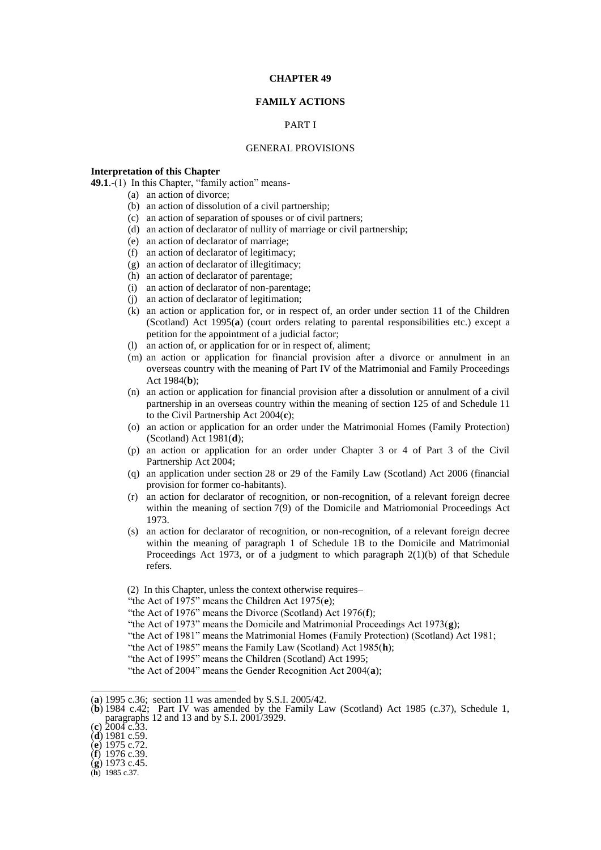#### **CHAPTER 49**

### **FAMILY ACTIONS**

## PART I

## GENERAL PROVISIONS

## **Interpretation of this Chapter**

49.1.<sup>-(1)</sup> In this Chapter, "family action" means-

- (a) an action of divorce;
- (b) an action of dissolution of a civil partnership;
- (c) an action of separation of spouses or of civil partners;
- (d) an action of declarator of nullity of marriage or civil partnership;
- (e) an action of declarator of marriage;
- (f) an action of declarator of legitimacy;
- (g) an action of declarator of illegitimacy;
- (h) an action of declarator of parentage;
- (i) an action of declarator of non-parentage;
- (j) an action of declarator of legitimation;
- (k) an action or application for, or in respect of, an order under section 11 of the Children (Scotland) Act 1995(**a**) (court orders relating to parental responsibilities etc.) except a petition for the appointment of a judicial factor;
- (l) an action of, or application for or in respect of, aliment;
- (m) an action or application for financial provision after a divorce or annulment in an overseas country with the meaning of Part IV of the Matrimonial and Family Proceedings Act 1984(**b**);
- (n) an action or application for financial provision after a dissolution or annulment of a civil partnership in an overseas country within the meaning of section 125 of and Schedule 11 to the Civil Partnership Act 2004(**c**);
- (o) an action or application for an order under the Matrimonial Homes (Family Protection) (Scotland) Act 1981(**d**);
- (p) an action or application for an order under Chapter 3 or 4 of Part 3 of the Civil Partnership Act 2004;
- (q) an application under section 28 or 29 of the Family Law (Scotland) Act 2006 (financial provision for former co-habitants).
- (r) an action for declarator of recognition, or non-recognition, of a relevant foreign decree within the meaning of section 7(9) of the Domicile and Matriomonial Proceedings Act 1973.
- (s) an action for declarator of recognition, or non-recognition, of a relevant foreign decree within the meaning of paragraph 1 of Schedule 1B to the Domicile and Matrimonial Proceedings Act 1973, or of a judgment to which paragraph  $2(1)(b)$  of that Schedule refers.
- (2) In this Chapter, unless the context otherwise requires–
- "the Act of 1975" means the Children Act 1975(**e**);
- "the Act of 1976" means the Divorce (Scotland) Act 1976(**f**);
- "the Act of 1973" means the Domicile and Matrimonial Proceedings Act 1973(**g**);
- "the Act of 1981" means the Matrimonial Homes (Family Protection) (Scotland) Act 1981;
- "the Act of 1985" means the Family Law (Scotland) Act 1985(**h**);
- "the Act of 1995" means the Children (Scotland) Act 1995;
- "the Act of 2004" means the Gender Recognition Act 2004(**a**);

<sup>(</sup>**a**) 1995 c.36; section 11 was amended by S.S.I. 2005/42.

 $(b)$  1984 c.42; Part IV was amended by the Family Law (Scotland) Act 1985 (c.37), Schedule 1, paragraphs 12 and 13 and by S.I. 2001/3929.

<sup>(</sup>**c**) 2004 c.33. (**d**) 1981 c.59.

<sup>(</sup>**e**) 1975 c.72.

<sup>(</sup>**f**) 1976 c.39.

<sup>(</sup>**g**) 1973 c.45.

<sup>(</sup>**h**) 1985 c.37.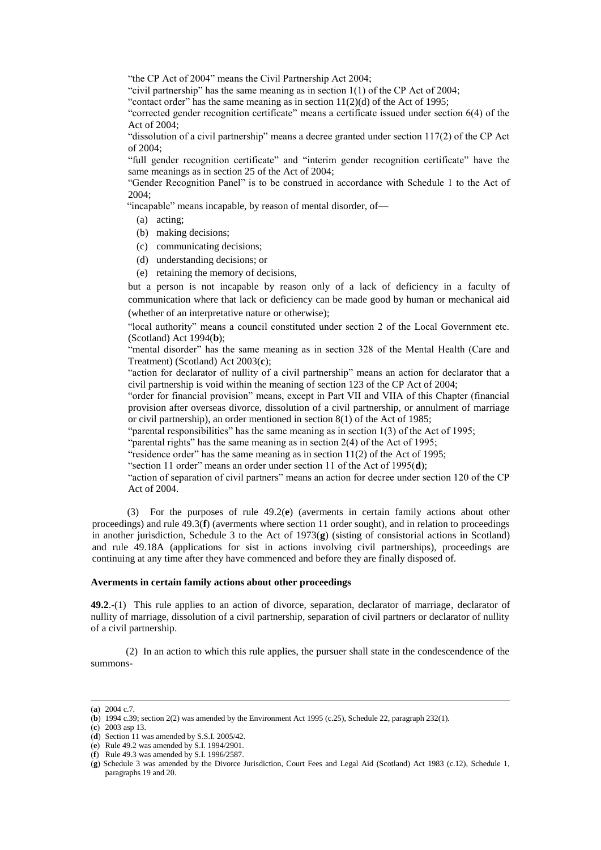"the CP Act of 2004" means the Civil Partnership Act 2004;

"civil partnership" has the same meaning as in section 1(1) of the CP Act of 2004;

"contact order" has the same meaning as in section  $11(2)(d)$  of the Act of 1995;

"corrected gender recognition certificate" means a certificate issued under section 6(4) of the Act of 2004;

"dissolution of a civil partnership" means a decree granted under section 117(2) of the CP Act of 2004;

"full gender recognition certificate" and "interim gender recognition certificate" have the same meanings as in section 25 of the Act of 2004;

"Gender Recognition Panel" is to be construed in accordance with Schedule 1 to the Act of 2004;

"incapable" means incapable, by reason of mental disorder, of—

(a) acting;

(b) making decisions;

- (c) communicating decisions;
- (d) understanding decisions; or
- (e) retaining the memory of decisions,

but a person is not incapable by reason only of a lack of deficiency in a faculty of communication where that lack or deficiency can be made good by human or mechanical aid (whether of an interpretative nature or otherwise);

"local authority" means a council constituted under section 2 of the Local Government etc. (Scotland) Act 1994(**b**);

"mental disorder" has the same meaning as in section 328 of the Mental Health (Care and Treatment) (Scotland) Act 2003(**c**);

"action for declarator of nullity of a civil partnership" means an action for declarator that a civil partnership is void within the meaning of section 123 of the CP Act of 2004;

"order for financial provision" means, except in Part VII and VIIA of this Chapter (financial provision after overseas divorce, dissolution of a civil partnership, or annulment of marriage or civil partnership), an order mentioned in section 8(1) of the Act of 1985;

"parental responsibilities" has the same meaning as in section  $1(3)$  of the Act of 1995;

"parental rights" has the same meaning as in section 2(4) of the Act of 1995;

"residence order" has the same meaning as in section 11(2) of the Act of 1995;

"section 11 order" means an order under section 11 of the Act of 1995(**d**);

"action of separation of civil partners" means an action for decree under section 120 of the CP Act of 2004.

(3) For the purposes of rule 49.2(**e**) (averments in certain family actions about other proceedings) and rule 49.3(**f**) (averments where section 11 order sought), and in relation to proceedings in another jurisdiction, Schedule 3 to the Act of 1973(**g**) (sisting of consistorial actions in Scotland) and rule 49.18A (applications for sist in actions involving civil partnerships), proceedings are continuing at any time after they have commenced and before they are finally disposed of.

#### **Averments in certain family actions about other proceedings**

**49.2**.-(1) This rule applies to an action of divorce, separation, declarator of marriage, declarator of nullity of marriage, dissolution of a civil partnership, separation of civil partners or declarator of nullity of a civil partnership.

(2) In an action to which this rule applies, the pursuer shall state in the condescendence of the summons-

<sup>(</sup>**a**) 2004 c.7.

<sup>(</sup>**b**) 1994 c.39; section 2(2) was amended by the Environment Act 1995 (c.25), Schedule 22, paragraph 232(1).

<sup>(</sup>**c**) 2003 asp 13.

<sup>(</sup>**d**) Section 11 was amended by S.S.I. 2005/42.

<sup>(</sup>**e**) Rule 49.2 was amended by S.I. 1994/2901.

<sup>(</sup>**f**) Rule 49.3 was amended by S.I. 1996/2587.

<sup>(</sup>**g**) Schedule 3 was amended by the Divorce Jurisdiction, Court Fees and Legal Aid (Scotland) Act 1983 (c.12), Schedule 1, paragraphs 19 and 20.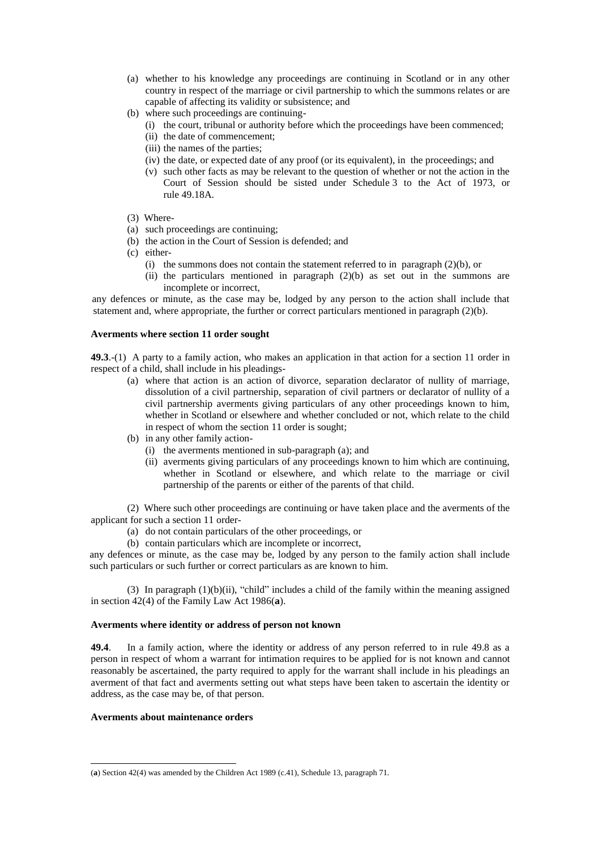- (a) whether to his knowledge any proceedings are continuing in Scotland or in any other country in respect of the marriage or civil partnership to which the summons relates or are capable of affecting its validity or subsistence; and
- (b) where such proceedings are continuing-
	- (i) the court, tribunal or authority before which the proceedings have been commenced;
	- (ii) the date of commencement;
	- (iii) the names of the parties;
	- (iv) the date, or expected date of any proof (or its equivalent), in the proceedings; and
	- (v) such other facts as may be relevant to the question of whether or not the action in the Court of Session should be sisted under Schedule 3 to the Act of 1973, or rule 49.18A.
- (3) Where-
- (a) such proceedings are continuing;
- (b) the action in the Court of Session is defended; and
- (c) either-
	- (i) the summons does not contain the statement referred to in paragraph (2)(b), or
	- (ii) the particulars mentioned in paragraph (2)(b) as set out in the summons are incomplete or incorrect,

any defences or minute, as the case may be, lodged by any person to the action shall include that statement and, where appropriate, the further or correct particulars mentioned in paragraph (2)(b).

#### **Averments where section 11 order sought**

**49.3**.-(1) A party to a family action, who makes an application in that action for a section 11 order in respect of a child, shall include in his pleadings-

- (a) where that action is an action of divorce, separation declarator of nullity of marriage, dissolution of a civil partnership, separation of civil partners or declarator of nullity of a civil partnership averments giving particulars of any other proceedings known to him, whether in Scotland or elsewhere and whether concluded or not, which relate to the child in respect of whom the section 11 order is sought;
- (b) in any other family action-
	- (i) the averments mentioned in sub-paragraph (a); and
	- (ii) averments giving particulars of any proceedings known to him which are continuing, whether in Scotland or elsewhere, and which relate to the marriage or civil partnership of the parents or either of the parents of that child.

(2) Where such other proceedings are continuing or have taken place and the averments of the applicant for such a section 11 order-

- (a) do not contain particulars of the other proceedings, or
- (b) contain particulars which are incomplete or incorrect,

any defences or minute, as the case may be, lodged by any person to the family action shall include such particulars or such further or correct particulars as are known to him.

(3) In paragraph  $(1)(b)(ii)$ , "child" includes a child of the family within the meaning assigned in section 42(4) of the Family Law Act 1986(**a**).

# **Averments where identity or address of person not known**

**49.4**. In a family action, where the identity or address of any person referred to in rule 49.8 as a person in respect of whom a warrant for intimation requires to be applied for is not known and cannot reasonably be ascertained, the party required to apply for the warrant shall include in his pleadings an averment of that fact and averments setting out what steps have been taken to ascertain the identity or address, as the case may be, of that person.

## **Averments about maintenance orders**

<sup>(</sup>**a**) Section 42(4) was amended by the Children Act 1989 (c.41), Schedule 13, paragraph 71.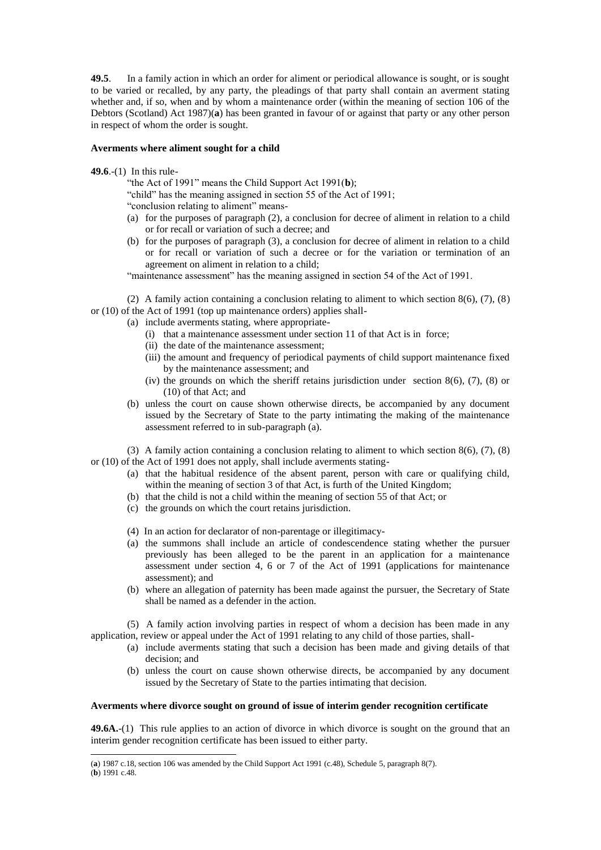**49.5**. In a family action in which an order for aliment or periodical allowance is sought, or is sought to be varied or recalled, by any party, the pleadings of that party shall contain an averment stating whether and, if so, when and by whom a maintenance order (within the meaning of section 106 of the Debtors (Scotland) Act 1987)(**a**) has been granted in favour of or against that party or any other person in respect of whom the order is sought.

## **Averments where aliment sought for a child**

**49.6**.-(1) In this rule-

"the Act of 1991" means the Child Support Act 1991(**b**); "child" has the meaning assigned in section 55 of the Act of 1991; "conclusion relating to aliment" means-

- (a) for the purposes of paragraph (2), a conclusion for decree of aliment in relation to a child or for recall or variation of such a decree; and
- (b) for the purposes of paragraph (3), a conclusion for decree of aliment in relation to a child or for recall or variation of such a decree or for the variation or termination of an agreement on aliment in relation to a child;

"maintenance assessment" has the meaning assigned in section 54 of the Act of 1991.

(2) A family action containing a conclusion relating to aliment to which section  $8(6)$ ,  $(7)$ ,  $(8)$ or (10) of the Act of 1991 (top up maintenance orders) applies shall-

- (a) include averments stating, where appropriate-
	- (i) that a maintenance assessment under section 11 of that Act is in force;
	- (ii) the date of the maintenance assessment;
	- (iii) the amount and frequency of periodical payments of child support maintenance fixed by the maintenance assessment; and
	- (iv) the grounds on which the sheriff retains jurisdiction under section  $8(6)$ ,  $(7)$ ,  $(8)$  or (10) of that Act; and
- (b) unless the court on cause shown otherwise directs, be accompanied by any document issued by the Secretary of State to the party intimating the making of the maintenance assessment referred to in sub-paragraph (a).

(3) A family action containing a conclusion relating to aliment to which section  $8(6)$ ,  $(7)$ ,  $(8)$ or (10) of the Act of 1991 does not apply, shall include averments stating-

- (a) that the habitual residence of the absent parent, person with care or qualifying child, within the meaning of section 3 of that Act, is furth of the United Kingdom;
- (b) that the child is not a child within the meaning of section 55 of that Act; or
- (c) the grounds on which the court retains jurisdiction.
- (4) In an action for declarator of non-parentage or illegitimacy-
- (a) the summons shall include an article of condescendence stating whether the pursuer previously has been alleged to be the parent in an application for a maintenance assessment under section 4, 6 or 7 of the Act of 1991 (applications for maintenance assessment); and
- (b) where an allegation of paternity has been made against the pursuer, the Secretary of State shall be named as a defender in the action.

(5) A family action involving parties in respect of whom a decision has been made in any application, review or appeal under the Act of 1991 relating to any child of those parties, shall-

- (a) include averments stating that such a decision has been made and giving details of that decision; and
- (b) unless the court on cause shown otherwise directs, be accompanied by any document issued by the Secretary of State to the parties intimating that decision.

## **Averments where divorce sought on ground of issue of interim gender recognition certificate**

**49.6A.**-(1) This rule applies to an action of divorce in which divorce is sought on the ground that an interim gender recognition certificate has been issued to either party.

(**b**) 1991 c.48.

<sup>(</sup>**a**) 1987 c.18, section 106 was amended by the Child Support Act 1991 (c.48), Schedule 5, paragraph 8(7).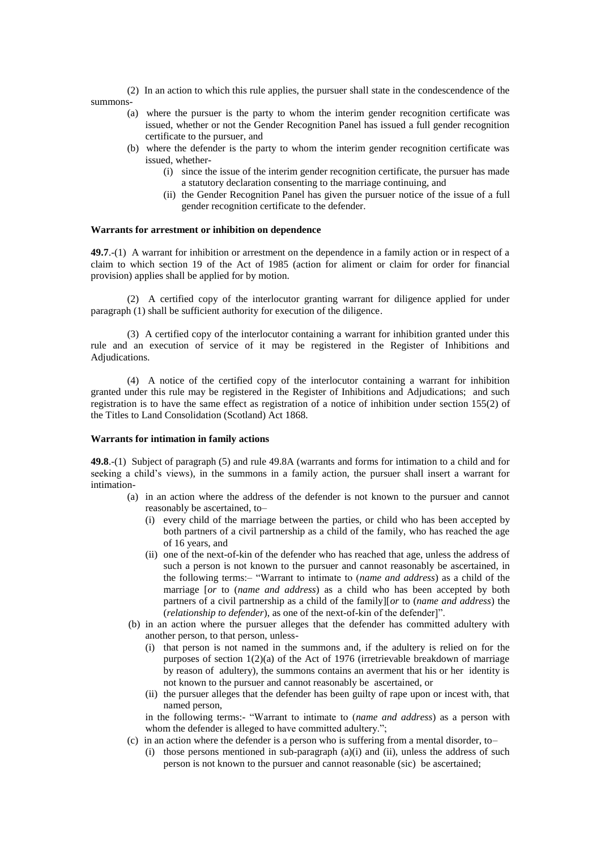(2) In an action to which this rule applies, the pursuer shall state in the condescendence of the summons-

- (a) where the pursuer is the party to whom the interim gender recognition certificate was issued, whether or not the Gender Recognition Panel has issued a full gender recognition certificate to the pursuer, and
- (b) where the defender is the party to whom the interim gender recognition certificate was issued, whether-
	- (i) since the issue of the interim gender recognition certificate, the pursuer has made a statutory declaration consenting to the marriage continuing, and
	- (ii) the Gender Recognition Panel has given the pursuer notice of the issue of a full gender recognition certificate to the defender.

## **Warrants for arrestment or inhibition on dependence**

**49.7**.-(1) A warrant for inhibition or arrestment on the dependence in a family action or in respect of a claim to which section 19 of the Act of 1985 (action for aliment or claim for order for financial provision) applies shall be applied for by motion.

(2) A certified copy of the interlocutor granting warrant for diligence applied for under paragraph (1) shall be sufficient authority for execution of the diligence.

(3) A certified copy of the interlocutor containing a warrant for inhibition granted under this rule and an execution of service of it may be registered in the Register of Inhibitions and Adjudications.

(4) A notice of the certified copy of the interlocutor containing a warrant for inhibition granted under this rule may be registered in the Register of Inhibitions and Adjudications; and such registration is to have the same effect as registration of a notice of inhibition under section 155(2) of the Titles to Land Consolidation (Scotland) Act 1868.

#### **Warrants for intimation in family actions**

**49.8**.-(1) Subject of paragraph (5) and rule 49.8A (warrants and forms for intimation to a child and for seeking a child's views), in the summons in a family action, the pursuer shall insert a warrant for intimation-

- (a) in an action where the address of the defender is not known to the pursuer and cannot reasonably be ascertained, to–
	- (i) every child of the marriage between the parties, or child who has been accepted by both partners of a civil partnership as a child of the family, who has reached the age of 16 years, and
	- (ii) one of the next-of-kin of the defender who has reached that age, unless the address of such a person is not known to the pursuer and cannot reasonably be ascertained, in the following terms:– "Warrant to intimate to (*name and address*) as a child of the marriage [*or* to (*name and address*) as a child who has been accepted by both partners of a civil partnership as a child of the family][*or* to (*name and address*) the (*relationship to defender*), as one of the next-of-kin of the defender]".
- (b) in an action where the pursuer alleges that the defender has committed adultery with another person, to that person, unless-
	- (i) that person is not named in the summons and, if the adultery is relied on for the purposes of section 1(2)(a) of the Act of 1976 (irretrievable breakdown of marriage by reason of adultery), the summons contains an averment that his or her identity is not known to the pursuer and cannot reasonably be ascertained, or
	- (ii) the pursuer alleges that the defender has been guilty of rape upon or incest with, that named person,

in the following terms:- "Warrant to intimate to (*name and address*) as a person with whom the defender is alleged to have committed adultery.";

- (c) in an action where the defender is a person who is suffering from a mental disorder, to–
	- (i) those persons mentioned in sub-paragraph  $(a)(i)$  and  $(ii)$ , unless the address of such person is not known to the pursuer and cannot reasonable (sic) be ascertained;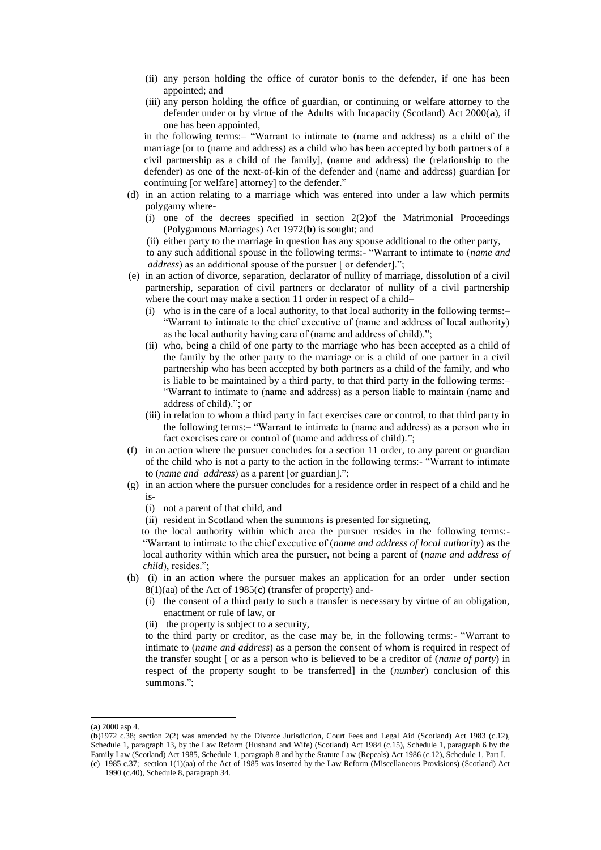- (ii) any person holding the office of curator bonis to the defender, if one has been appointed; and
- (iii) any person holding the office of guardian, or continuing or welfare attorney to the defender under or by virtue of the Adults with Incapacity (Scotland) Act 2000(**a**), if one has been appointed,

in the following terms:– "Warrant to intimate to (name and address) as a child of the marriage [or to (name and address) as a child who has been accepted by both partners of a civil partnership as a child of the family], (name and address) the (relationship to the defender) as one of the next-of-kin of the defender and (name and address) guardian [or continuing [or welfare] attorney] to the defender."

- (d) in an action relating to a marriage which was entered into under a law which permits polygamy where-
	- (i) one of the decrees specified in section  $2(2)$  of the Matrimonial Proceedings (Polygamous Marriages) Act 1972(**b**) is sought; and

(ii) either party to the marriage in question has any spouse additional to the other party, to any such additional spouse in the following terms:- "Warrant to intimate to (*name and address*) as an additional spouse of the pursuer [ or defender].";

- (e) in an action of divorce, separation, declarator of nullity of marriage, dissolution of a civil partnership, separation of civil partners or declarator of nullity of a civil partnership where the court may make a section 11 order in respect of a child–
	- (i) who is in the care of a local authority, to that local authority in the following terms:– "Warrant to intimate to the chief executive of (name and address of local authority) as the local authority having care of (name and address of child).";
	- (ii) who, being a child of one party to the marriage who has been accepted as a child of the family by the other party to the marriage or is a child of one partner in a civil partnership who has been accepted by both partners as a child of the family, and who is liable to be maintained by a third party, to that third party in the following terms:– "Warrant to intimate to (name and address) as a person liable to maintain (name and address of child)."; or
	- (iii) in relation to whom a third party in fact exercises care or control, to that third party in the following terms:– "Warrant to intimate to (name and address) as a person who in fact exercises care or control of (name and address of child).";
- (f) in an action where the pursuer concludes for a section 11 order, to any parent or guardian of the child who is not a party to the action in the following terms:- "Warrant to intimate to (*name and address*) as a parent [or guardian].";
- (g) in an action where the pursuer concludes for a residence order in respect of a child and he is-
	- (i) not a parent of that child, and
	- (ii) resident in Scotland when the summons is presented for signeting,

to the local authority within which area the pursuer resides in the following terms:- "Warrant to intimate to the chief executive of (*name and address of local authority*) as the local authority within which area the pursuer, not being a parent of (*name and address of child*), resides.";

- (h) (i) in an action where the pursuer makes an application for an order under section 8(1)(aa) of the Act of 1985(**c**) (transfer of property) and-
	- (i) the consent of a third party to such a transfer is necessary by virtue of an obligation, enactment or rule of law, or
	- (ii) the property is subject to a security,

to the third party or creditor, as the case may be, in the following terms:- "Warrant to intimate to (*name and address*) as a person the consent of whom is required in respect of the transfer sought [ or as a person who is believed to be a creditor of (*name of party*) in respect of the property sought to be transferred] in the (*number*) conclusion of this summons.";

-

<sup>(</sup>**a**) 2000 asp 4.

<sup>(</sup>**b**)1972 c.38; section 2(2) was amended by the Divorce Jurisdiction, Court Fees and Legal Aid (Scotland) Act 1983 (c.12), Schedule 1, paragraph 13, by the Law Reform (Husband and Wife) (Scotland) Act 1984 (c.15), Schedule 1, paragraph 6 by the Family Law (Scotland) Act 1985, Schedule 1, paragraph 8 and by the Statute Law (Repeals) Act 1986 (c.12), Schedule 1, Part I. (**c**) 1985 c.37; section 1(1)(aa) of the Act of 1985 was inserted by the Law Reform (Miscellaneous Provisions) (Scotland) Act

<sup>1990 (</sup>c.40), Schedule 8, paragraph 34.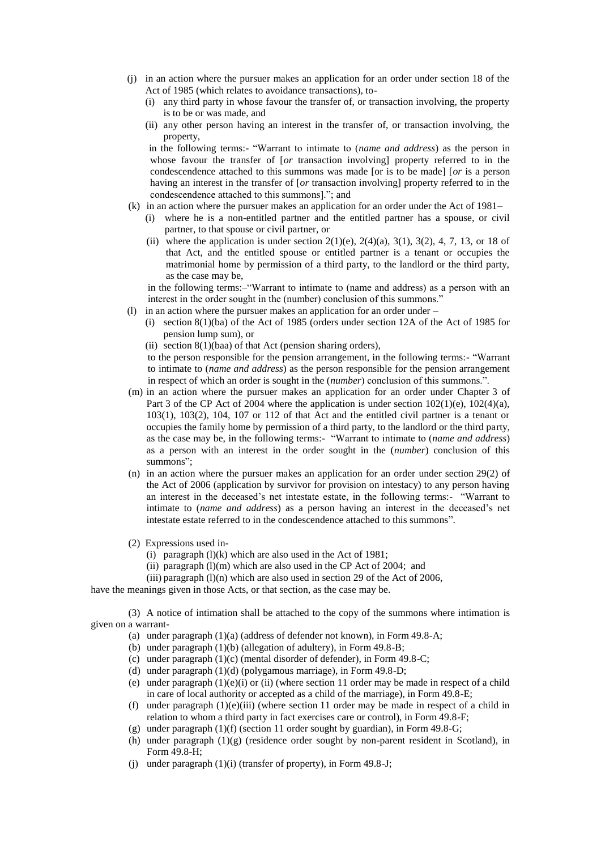- (j) in an action where the pursuer makes an application for an order under section 18 of the Act of 1985 (which relates to avoidance transactions), to-
	- (i) any third party in whose favour the transfer of, or transaction involving, the property is to be or was made, and
	- (ii) any other person having an interest in the transfer of, or transaction involving, the property,

in the following terms:- "Warrant to intimate to (*name and address*) as the person in whose favour the transfer of [*or* transaction involving] property referred to in the condescendence attached to this summons was made [or is to be made] [*or* is a person having an interest in the transfer of [*or* transaction involving] property referred to in the condescendence attached to this summons]."; and

- (k) in an action where the pursuer makes an application for an order under the Act of 1981–
	- (i) where he is a non-entitled partner and the entitled partner has a spouse, or civil partner, to that spouse or civil partner, or
	- (ii) where the application is under section  $2(1)(e)$ ,  $2(4)(a)$ ,  $3(1)$ ,  $3(2)$ ,  $4$ ,  $7$ ,  $13$ , or 18 of that Act, and the entitled spouse or entitled partner is a tenant or occupies the matrimonial home by permission of a third party, to the landlord or the third party, as the case may be,

in the following terms:–"Warrant to intimate to (name and address) as a person with an interest in the order sought in the (number) conclusion of this summons."

- (l) in an action where the pursuer makes an application for an order under
	- (i) section  $8(1)(ba)$  of the Act of 1985 (orders under section 12A of the Act of 1985 for pension lump sum), or
	- (ii) section  $8(1)$ (baa) of that Act (pension sharing orders),

to the person responsible for the pension arrangement, in the following terms:- "Warrant to intimate to (*name and address*) as the person responsible for the pension arrangement in respect of which an order is sought in the (*number*) conclusion of this summons.".

- (m) in an action where the pursuer makes an application for an order under Chapter 3 of Part 3 of the CP Act of 2004 where the application is under section  $102(1)(e)$ ,  $102(4)(a)$ , 103(1), 103(2), 104, 107 or 112 of that Act and the entitled civil partner is a tenant or occupies the family home by permission of a third party, to the landlord or the third party, as the case may be, in the following terms:- "Warrant to intimate to (*name and address*) as a person with an interest in the order sought in the (*number*) conclusion of this summons";
- (n) in an action where the pursuer makes an application for an order under section 29(2) of the Act of 2006 (application by survivor for provision on intestacy) to any person having an interest in the deceased's net intestate estate, in the following terms:- "Warrant to intimate to (*name and address*) as a person having an interest in the deceased's net intestate estate referred to in the condescendence attached to this summons".
- (2) Expressions used in-
	- (i) paragraph  $(l)(k)$  which are also used in the Act of 1981;
	- (ii) paragraph  $(l)(m)$  which are also used in the CP Act of 2004; and
	- (iii) paragraph  $(l)(n)$  which are also used in section 29 of the Act of 2006,

have the meanings given in those Acts, or that section, as the case may be.

(3) A notice of intimation shall be attached to the copy of the summons where intimation is given on a warrant-

- (a) under paragraph (1)(a) (address of defender not known), in Form 49.8-A;
- (b) under paragraph (1)(b) (allegation of adultery), in Form 49.8-B;
- (c) under paragraph (1)(c) (mental disorder of defender), in Form 49.8-C;
- (d) under paragraph (1)(d) (polygamous marriage), in Form 49.8-D;
- (e) under paragraph  $(1)(e)(i)$  or (ii) (where section 11 order may be made in respect of a child in care of local authority or accepted as a child of the marriage), in Form 49.8-E;
- (f) under paragraph  $(1)(e)(iii)$  (where section 11 order may be made in respect of a child in relation to whom a third party in fact exercises care or control), in Form 49.8-F;
- (g) under paragraph (1)(f) (section 11 order sought by guardian), in Form 49.8-G;
- (h) under paragraph  $(1)(g)$  (residence order sought by non-parent resident in Scotland), in Form 49.8-H;
- (i) under paragraph  $(1)(i)$  (transfer of property), in Form 49.8-J;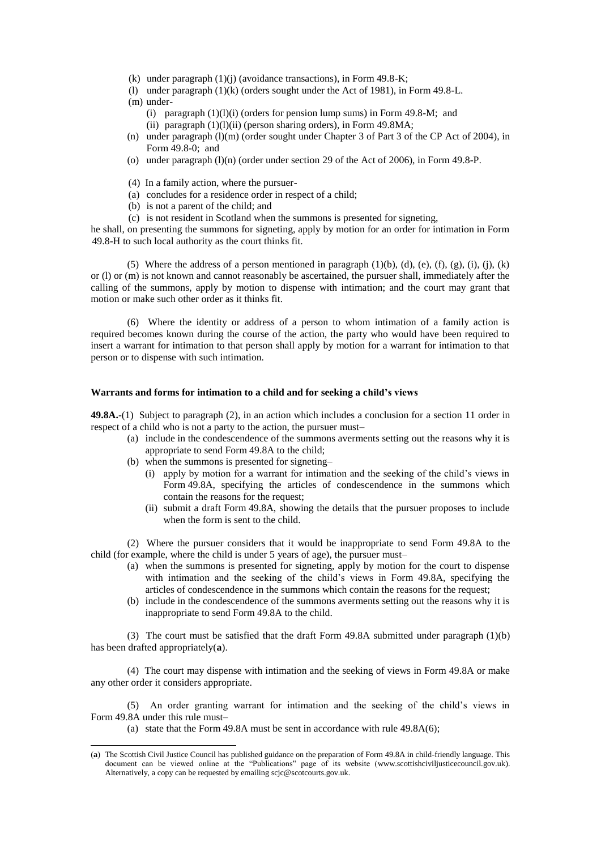- (k) under paragraph (1)(j) (avoidance transactions), in Form 49.8-K;
- (1) under paragraph  $(1)(k)$  (orders sought under the Act of 1981), in Form 49.8-L.
- (m) under-
	- (i) paragraph  $(1)(1)(i)$  (orders for pension lump sums) in Form 49.8-M; and (ii) paragraph (1)(l)(ii) (person sharing orders), in Form 49.8MA;
- (n) under paragraph (l)(m) (order sought under Chapter 3 of Part 3 of the CP Act of 2004), in Form 49.8-0; and
- (o) under paragraph (l)(n) (order under section 29 of the Act of 2006), in Form 49.8-P.
- (4) In a family action, where the pursuer-
- (a) concludes for a residence order in respect of a child;
- (b) is not a parent of the child; and
- (c) is not resident in Scotland when the summons is presented for signeting,

he shall, on presenting the summons for signeting, apply by motion for an order for intimation in Form 49.8-H to such local authority as the court thinks fit.

(5) Where the address of a person mentioned in paragraph  $(1)(b)$ ,  $(d)$ ,  $(e)$ ,  $(f)$ ,  $(g)$ ,  $(i)$ ,  $(j)$ ,  $(k)$ or (l) or (m) is not known and cannot reasonably be ascertained, the pursuer shall, immediately after the calling of the summons, apply by motion to dispense with intimation; and the court may grant that motion or make such other order as it thinks fit.

(6) Where the identity or address of a person to whom intimation of a family action is required becomes known during the course of the action, the party who would have been required to insert a warrant for intimation to that person shall apply by motion for a warrant for intimation to that person or to dispense with such intimation.

## **Warrants and forms for intimation to a child and for seeking a child's views**

**49.8A.**-(1) Subject to paragraph (2), in an action which includes a conclusion for a section 11 order in respect of a child who is not a party to the action, the pursuer must–

- (a) include in the condescendence of the summons averments setting out the reasons why it is appropriate to send Form 49.8A to the child;
- (b) when the summons is presented for signeting–

 $\overline{a}$ 

- (i) apply by motion for a warrant for intimation and the seeking of the child's views in Form 49.8A, specifying the articles of condescendence in the summons which contain the reasons for the request;
- (ii) submit a draft Form 49.8A, showing the details that the pursuer proposes to include when the form is sent to the child.

(2) Where the pursuer considers that it would be inappropriate to send Form 49.8A to the child (for example, where the child is under 5 years of age), the pursuer must–

- (a) when the summons is presented for signeting, apply by motion for the court to dispense with intimation and the seeking of the child's views in Form 49.8A, specifying the articles of condescendence in the summons which contain the reasons for the request;
- (b) include in the condescendence of the summons averments setting out the reasons why it is inappropriate to send Form 49.8A to the child.

(3) The court must be satisfied that the draft Form 49.8A submitted under paragraph (1)(b) has been drafted appropriately(**a**).

(4) The court may dispense with intimation and the seeking of views in Form 49.8A or make any other order it considers appropriate.

(5) An order granting warrant for intimation and the seeking of the child's views in Form 49.8A under this rule must–

(a) state that the Form 49.8A must be sent in accordance with rule 49.8A(6);

<sup>(</sup>**a**) The Scottish Civil Justice Council has published guidance on the preparation of Form 49.8A in child-friendly language. This document can be viewed online at the "Publications" page of its website (www.scottishciviljusticecouncil.gov.uk). Alternatively, a copy can be requested by emailing scjc@scotcourts.gov.uk.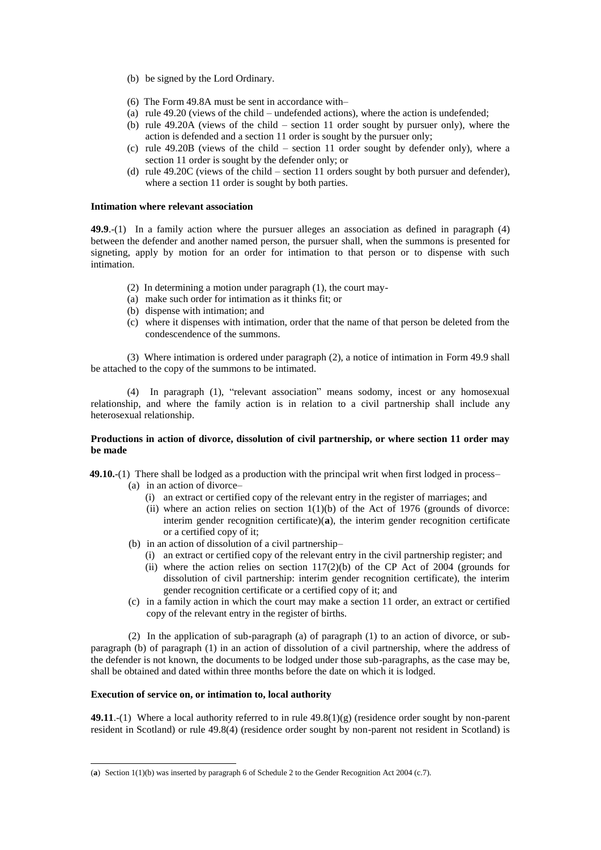- (b) be signed by the Lord Ordinary.
- (6) The Form 49.8A must be sent in accordance with–
- (a) rule 49.20 (views of the child undefended actions), where the action is undefended;
- (b) rule 49.20A (views of the child section 11 order sought by pursuer only), where the action is defended and a section 11 order is sought by the pursuer only;
- (c) rule 49.20B (views of the child section 11 order sought by defender only), where a section 11 order is sought by the defender only; or
- (d) rule 49.20C (views of the child section 11 orders sought by both pursuer and defender), where a section 11 order is sought by both parties.

#### **Intimation where relevant association**

**49.9**.-(1) In a family action where the pursuer alleges an association as defined in paragraph (4) between the defender and another named person, the pursuer shall, when the summons is presented for signeting, apply by motion for an order for intimation to that person or to dispense with such intimation.

- (2) In determining a motion under paragraph (1), the court may-
- (a) make such order for intimation as it thinks fit; or
- (b) dispense with intimation; and
- (c) where it dispenses with intimation, order that the name of that person be deleted from the condescendence of the summons.

(3) Where intimation is ordered under paragraph (2), a notice of intimation in Form 49.9 shall be attached to the copy of the summons to be intimated.

(4) In paragraph (1), "relevant association" means sodomy, incest or any homosexual relationship, and where the family action is in relation to a civil partnership shall include any heterosexual relationship.

## **Productions in action of divorce, dissolution of civil partnership, or where section 11 order may be made**

**49.10.**-(1) There shall be lodged as a production with the principal writ when first lodged in process–

- (a) in an action of divorce–
	- (i) an extract or certified copy of the relevant entry in the register of marriages; and
	- (ii) where an action relies on section  $1(1)(b)$  of the Act of 1976 (grounds of divorce: interim gender recognition certificate)(**a**), the interim gender recognition certificate or a certified copy of it;
- (b) in an action of dissolution of a civil partnership–
	- (i) an extract or certified copy of the relevant entry in the civil partnership register; and
	- (ii) where the action relies on section  $117(2)(b)$  of the CP Act of 2004 (grounds for dissolution of civil partnership: interim gender recognition certificate), the interim gender recognition certificate or a certified copy of it; and
- (c) in a family action in which the court may make a section 11 order, an extract or certified copy of the relevant entry in the register of births.

(2) In the application of sub-paragraph (a) of paragraph (1) to an action of divorce, or subparagraph (b) of paragraph (1) in an action of dissolution of a civil partnership, where the address of the defender is not known, the documents to be lodged under those sub-paragraphs, as the case may be, shall be obtained and dated within three months before the date on which it is lodged.

## **Execution of service on, or intimation to, local authority**

 $\overline{a}$ 

**49.11**.-(1) Where a local authority referred to in rule 49.8(1)(g) (residence order sought by non-parent resident in Scotland) or rule 49.8(4) (residence order sought by non-parent not resident in Scotland) is

<sup>(</sup>**a**) Section 1(1)(b) was inserted by paragraph 6 of Schedule 2 to the Gender Recognition Act 2004 (c.7).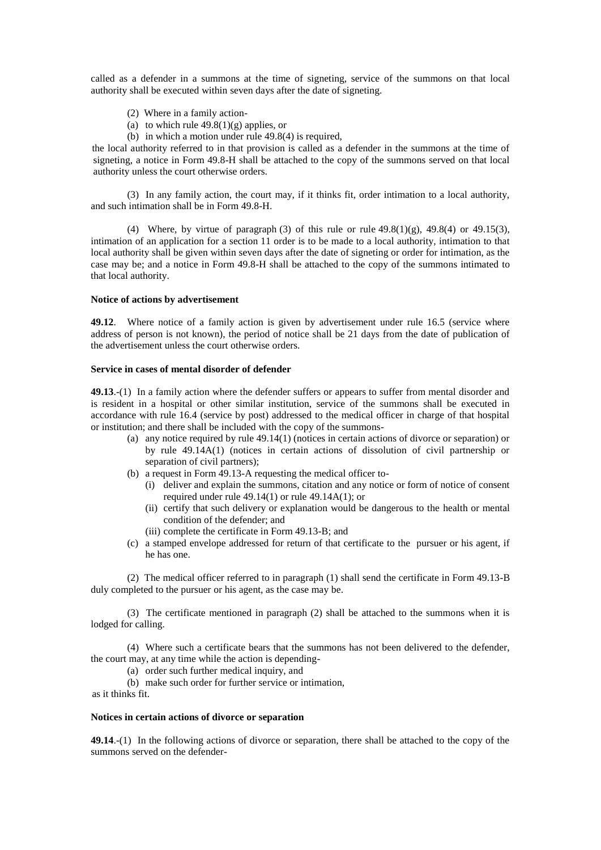called as a defender in a summons at the time of signeting, service of the summons on that local authority shall be executed within seven days after the date of signeting.

- (2) Where in a family action-
- (a) to which rule  $49.8(1)(g)$  applies, or
- (b) in which a motion under rule 49.8(4) is required,

the local authority referred to in that provision is called as a defender in the summons at the time of signeting, a notice in Form 49.8-H shall be attached to the copy of the summons served on that local authority unless the court otherwise orders.

(3) In any family action, the court may, if it thinks fit, order intimation to a local authority, and such intimation shall be in Form 49.8-H.

(4) Where, by virtue of paragraph (3) of this rule or rule  $49.8(1)(g)$ ,  $49.8(4)$  or  $49.15(3)$ , intimation of an application for a section 11 order is to be made to a local authority, intimation to that local authority shall be given within seven days after the date of signeting or order for intimation, as the case may be; and a notice in Form 49.8-H shall be attached to the copy of the summons intimated to that local authority.

#### **Notice of actions by advertisement**

**49.12**. Where notice of a family action is given by advertisement under rule 16.5 (service where address of person is not known), the period of notice shall be 21 days from the date of publication of the advertisement unless the court otherwise orders.

## **Service in cases of mental disorder of defender**

**49.13**.-(1) In a family action where the defender suffers or appears to suffer from mental disorder and is resident in a hospital or other similar institution, service of the summons shall be executed in accordance with rule 16.4 (service by post) addressed to the medical officer in charge of that hospital or institution; and there shall be included with the copy of the summons-

- (a) any notice required by rule 49.14(1) (notices in certain actions of divorce or separation) or by rule 49.14A(1) (notices in certain actions of dissolution of civil partnership or separation of civil partners);
- (b) a request in Form 49.13-A requesting the medical officer to-
	- (i) deliver and explain the summons, citation and any notice or form of notice of consent required under rule 49.14(1) or rule 49.14A(1); or
	- (ii) certify that such delivery or explanation would be dangerous to the health or mental condition of the defender; and
	- (iii) complete the certificate in Form 49.13-B; and
- (c) a stamped envelope addressed for return of that certificate to the pursuer or his agent, if he has one.

(2) The medical officer referred to in paragraph (1) shall send the certificate in Form 49.13-B duly completed to the pursuer or his agent, as the case may be.

(3) The certificate mentioned in paragraph (2) shall be attached to the summons when it is lodged for calling.

(4) Where such a certificate bears that the summons has not been delivered to the defender, the court may, at any time while the action is depending-

(a) order such further medical inquiry, and

(b) make such order for further service or intimation, as it thinks fit.

## **Notices in certain actions of divorce or separation**

**49.14**.-(1) In the following actions of divorce or separation, there shall be attached to the copy of the summons served on the defender-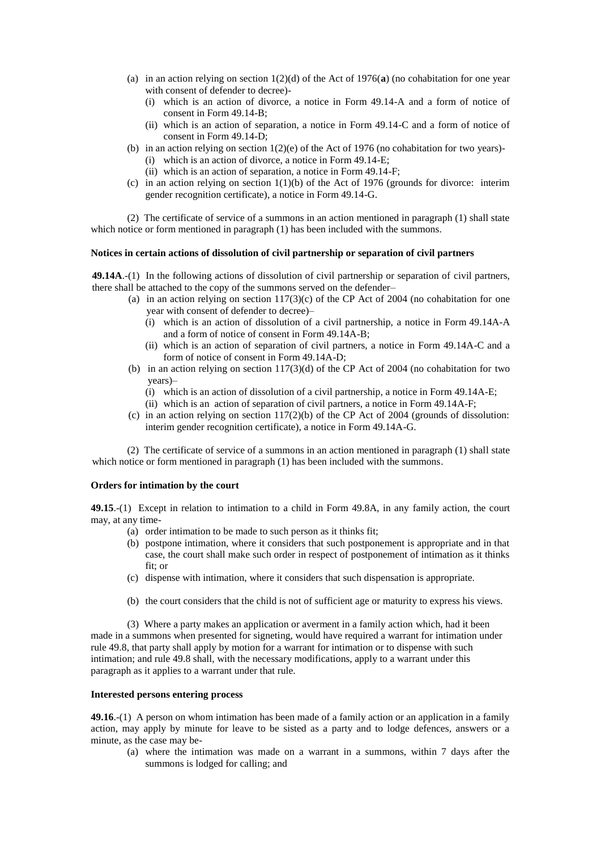- (a) in an action relying on section 1(2)(d) of the Act of 1976(**a**) (no cohabitation for one year with consent of defender to decree)-
	- (i) which is an action of divorce, a notice in Form 49.14-A and a form of notice of consent in Form 49.14-B;
	- (ii) which is an action of separation, a notice in Form 49.14-C and a form of notice of consent in Form 49.14-D;
- (b) in an action relying on section  $1(2)(e)$  of the Act of 1976 (no cohabitation for two years)-
	- (i) which is an action of divorce, a notice in Form 49.14-E;
	- (ii) which is an action of separation, a notice in Form 49.14-F;
- (c) in an action relying on section  $1(1)(b)$  of the Act of 1976 (grounds for divorce: interim gender recognition certificate), a notice in Form 49.14-G.

(2) The certificate of service of a summons in an action mentioned in paragraph (1) shall state which notice or form mentioned in paragraph (1) has been included with the summons.

## **Notices in certain actions of dissolution of civil partnership or separation of civil partners**

**49.14A**.-(1) In the following actions of dissolution of civil partnership or separation of civil partners, there shall be attached to the copy of the summons served on the defender–

- (a) in an action relying on section  $117(3)(c)$  of the CP Act of 2004 (no cohabitation for one year with consent of defender to decree)–
	- (i) which is an action of dissolution of a civil partnership, a notice in Form 49.14A-A and a form of notice of consent in Form 49.14A-B;
	- (ii) which is an action of separation of civil partners, a notice in Form 49.14A-C and a form of notice of consent in Form 49.14A-D;
- (b) in an action relying on section 117(3)(d) of the CP Act of 2004 (no cohabitation for two years)–
	- (i) which is an action of dissolution of a civil partnership, a notice in Form 49.14A-E;
	- (ii) which is an action of separation of civil partners, a notice in Form 49.14A-F;
- (c) in an action relying on section  $117(2)(b)$  of the CP Act of 2004 (grounds of dissolution: interim gender recognition certificate), a notice in Form 49.14A-G.

(2) The certificate of service of a summons in an action mentioned in paragraph (1) shall state which notice or form mentioned in paragraph (1) has been included with the summons.

## **Orders for intimation by the court**

**49.15**.-(1) Except in relation to intimation to a child in Form 49.8A, in any family action, the court may, at any time-

- (a) order intimation to be made to such person as it thinks fit;
- (b) postpone intimation, where it considers that such postponement is appropriate and in that case, the court shall make such order in respect of postponement of intimation as it thinks fit; or
- (c) dispense with intimation, where it considers that such dispensation is appropriate.
- (b) the court considers that the child is not of sufficient age or maturity to express his views.

(3) Where a party makes an application or averment in a family action which, had it been made in a summons when presented for signeting, would have required a warrant for intimation under rule 49.8, that party shall apply by motion for a warrant for intimation or to dispense with such intimation; and rule 49.8 shall, with the necessary modifications, apply to a warrant under this paragraph as it applies to a warrant under that rule.

### **Interested persons entering process**

**49.16**.-(1) A person on whom intimation has been made of a family action or an application in a family action, may apply by minute for leave to be sisted as a party and to lodge defences, answers or a minute, as the case may be-

(a) where the intimation was made on a warrant in a summons, within 7 days after the summons is lodged for calling; and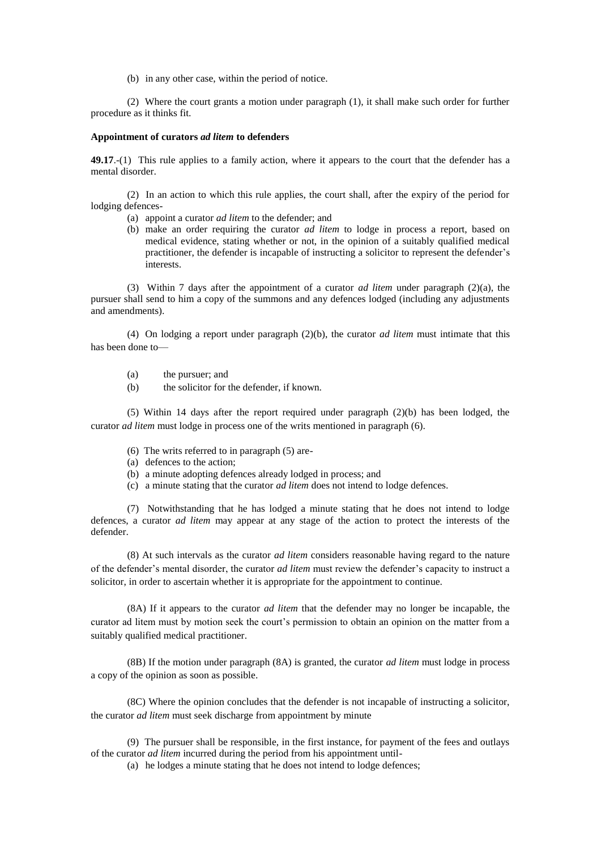(b) in any other case, within the period of notice.

(2) Where the court grants a motion under paragraph (1), it shall make such order for further procedure as it thinks fit.

#### **Appointment of curators** *ad litem* **to defenders**

49.17.-(1) This rule applies to a family action, where it appears to the court that the defender has a mental disorder.

(2) In an action to which this rule applies, the court shall, after the expiry of the period for lodging defences-

- (a) appoint a curator *ad litem* to the defender; and
- (b) make an order requiring the curator *ad litem* to lodge in process a report, based on medical evidence, stating whether or not, in the opinion of a suitably qualified medical practitioner, the defender is incapable of instructing a solicitor to represent the defender's interests.

(3) Within 7 days after the appointment of a curator *ad litem* under paragraph (2)(a), the pursuer shall send to him a copy of the summons and any defences lodged (including any adjustments and amendments).

(4) On lodging a report under paragraph (2)(b), the curator *ad litem* must intimate that this has been done to—

- (a) the pursuer; and
- (b) the solicitor for the defender, if known.

(5) Within 14 days after the report required under paragraph (2)(b) has been lodged, the curator *ad litem* must lodge in process one of the writs mentioned in paragraph (6).

- (6) The writs referred to in paragraph (5) are-
- (a) defences to the action;
- (b) a minute adopting defences already lodged in process; and
- (c) a minute stating that the curator *ad litem* does not intend to lodge defences.

(7) Notwithstanding that he has lodged a minute stating that he does not intend to lodge defences, a curator *ad litem* may appear at any stage of the action to protect the interests of the defender.

(8) At such intervals as the curator *ad litem* considers reasonable having regard to the nature of the defender's mental disorder, the curator *ad litem* must review the defender's capacity to instruct a solicitor, in order to ascertain whether it is appropriate for the appointment to continue.

(8A) If it appears to the curator *ad litem* that the defender may no longer be incapable, the curator ad litem must by motion seek the court's permission to obtain an opinion on the matter from a suitably qualified medical practitioner.

(8B) If the motion under paragraph (8A) is granted, the curator *ad litem* must lodge in process a copy of the opinion as soon as possible.

(8C) Where the opinion concludes that the defender is not incapable of instructing a solicitor, the curator *ad litem* must seek discharge from appointment by minute

(9) The pursuer shall be responsible, in the first instance, for payment of the fees and outlays of the curator *ad litem* incurred during the period from his appointment until-

(a) he lodges a minute stating that he does not intend to lodge defences;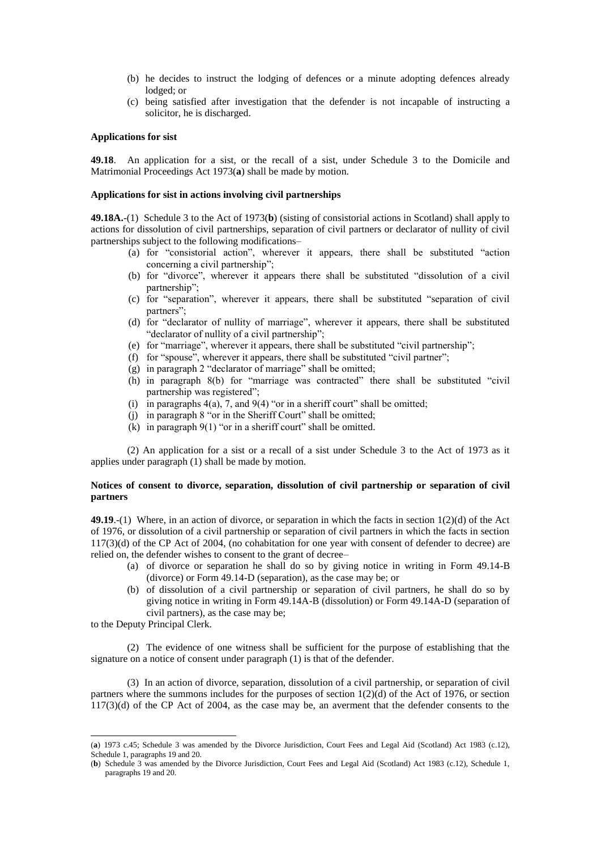- (b) he decides to instruct the lodging of defences or a minute adopting defences already lodged; or
- (c) being satisfied after investigation that the defender is not incapable of instructing a solicitor, he is discharged.

#### **Applications for sist**

**49.18**. An application for a sist, or the recall of a sist, under Schedule 3 to the Domicile and Matrimonial Proceedings Act 1973(**a**) shall be made by motion.

## **Applications for sist in actions involving civil partnerships**

**49.18A.**-(1) Schedule 3 to the Act of 1973(**b**) (sisting of consistorial actions in Scotland) shall apply to actions for dissolution of civil partnerships, separation of civil partners or declarator of nullity of civil partnerships subject to the following modifications–

- (a) for "consistorial action", wherever it appears, there shall be substituted "action concerning a civil partnership";
- (b) for "divorce", wherever it appears there shall be substituted "dissolution of a civil partnership";
- (c) for "separation", wherever it appears, there shall be substituted "separation of civil partners";
- (d) for "declarator of nullity of marriage", wherever it appears, there shall be substituted "declarator of nullity of a civil partnership";
- (e) for "marriage", wherever it appears, there shall be substituted "civil partnership";
- (f) for "spouse", wherever it appears, there shall be substituted "civil partner";
- (g) in paragraph 2 "declarator of marriage" shall be omitted;
- (h) in paragraph 8(b) for "marriage was contracted" there shall be substituted "civil partnership was registered";
- (i) in paragraphs  $4(a)$ , 7, and  $9(4)$  "or in a sheriff court" shall be omitted;
- (j) in paragraph 8 "or in the Sheriff Court" shall be omitted;
- (k) in paragraph  $9(1)$  "or in a sheriff court" shall be omitted.

(2) An application for a sist or a recall of a sist under Schedule 3 to the Act of 1973 as it applies under paragraph (1) shall be made by motion.

## **Notices of consent to divorce, separation, dissolution of civil partnership or separation of civil partners**

**49.19**.-(1) Where, in an action of divorce, or separation in which the facts in section 1(2)(d) of the Act of 1976, or dissolution of a civil partnership or separation of civil partners in which the facts in section 117(3)(d) of the CP Act of 2004, (no cohabitation for one year with consent of defender to decree) are relied on, the defender wishes to consent to the grant of decree–

- (a) of divorce or separation he shall do so by giving notice in writing in Form 49.14-B (divorce) or Form 49.14-D (separation), as the case may be; or
- (b) of dissolution of a civil partnership or separation of civil partners, he shall do so by giving notice in writing in Form 49.14A-B (dissolution) or Form 49.14A-D (separation of civil partners), as the case may be;

to the Deputy Principal Clerk.

-

(2) The evidence of one witness shall be sufficient for the purpose of establishing that the signature on a notice of consent under paragraph (1) is that of the defender.

(3) In an action of divorce, separation, dissolution of a civil partnership, or separation of civil partners where the summons includes for the purposes of section 1(2)(d) of the Act of 1976, or section 117(3)(d) of the CP Act of 2004, as the case may be, an averment that the defender consents to the

<sup>(</sup>**a**) 1973 c.45; Schedule 3 was amended by the Divorce Jurisdiction, Court Fees and Legal Aid (Scotland) Act 1983 (c.12), Schedule 1, paragraphs 19 and 20.

<sup>(</sup>**b**) Schedule 3 was amended by the Divorce Jurisdiction, Court Fees and Legal Aid (Scotland) Act 1983 (c.12), Schedule 1, paragraphs 19 and 20.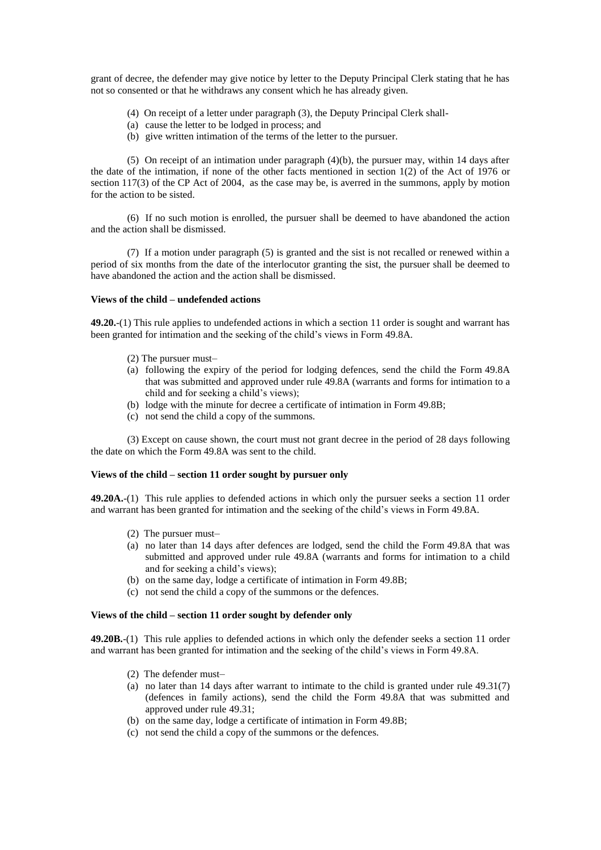grant of decree, the defender may give notice by letter to the Deputy Principal Clerk stating that he has not so consented or that he withdraws any consent which he has already given.

- (4) On receipt of a letter under paragraph (3), the Deputy Principal Clerk shall-
- (a) cause the letter to be lodged in process; and
- (b) give written intimation of the terms of the letter to the pursuer.

(5) On receipt of an intimation under paragraph (4)(b), the pursuer may, within 14 days after the date of the intimation, if none of the other facts mentioned in section 1(2) of the Act of 1976 or section 117(3) of the CP Act of 2004, as the case may be, is averred in the summons, apply by motion for the action to be sisted.

(6) If no such motion is enrolled, the pursuer shall be deemed to have abandoned the action and the action shall be dismissed.

(7) If a motion under paragraph (5) is granted and the sist is not recalled or renewed within a period of six months from the date of the interlocutor granting the sist, the pursuer shall be deemed to have abandoned the action and the action shall be dismissed.

## **Views of the child – undefended actions**

**49.20.**-(1) This rule applies to undefended actions in which a section 11 order is sought and warrant has been granted for intimation and the seeking of the child's views in Form 49.8A.

- (2) The pursuer must–
- (a) following the expiry of the period for lodging defences, send the child the Form 49.8A that was submitted and approved under rule 49.8A (warrants and forms for intimation to a child and for seeking a child's views);
- (b) lodge with the minute for decree a certificate of intimation in Form 49.8B;
- (c) not send the child a copy of the summons.

(3) Except on cause shown, the court must not grant decree in the period of 28 days following the date on which the Form 49.8A was sent to the child.

#### **Views of the child – section 11 order sought by pursuer only**

**49.20A.**-(1) This rule applies to defended actions in which only the pursuer seeks a section 11 order and warrant has been granted for intimation and the seeking of the child's views in Form 49.8A.

- (2) The pursuer must–
- (a) no later than 14 days after defences are lodged, send the child the Form 49.8A that was submitted and approved under rule 49.8A (warrants and forms for intimation to a child and for seeking a child's views);
- (b) on the same day, lodge a certificate of intimation in Form 49.8B;
- (c) not send the child a copy of the summons or the defences.

## **Views of the child – section 11 order sought by defender only**

**49.20B.**-(1) This rule applies to defended actions in which only the defender seeks a section 11 order and warrant has been granted for intimation and the seeking of the child's views in Form 49.8A.

- (2) The defender must–
- (a) no later than 14 days after warrant to intimate to the child is granted under rule 49.31(7) (defences in family actions), send the child the Form 49.8A that was submitted and approved under rule 49.31;
- (b) on the same day, lodge a certificate of intimation in Form 49.8B;
- (c) not send the child a copy of the summons or the defences.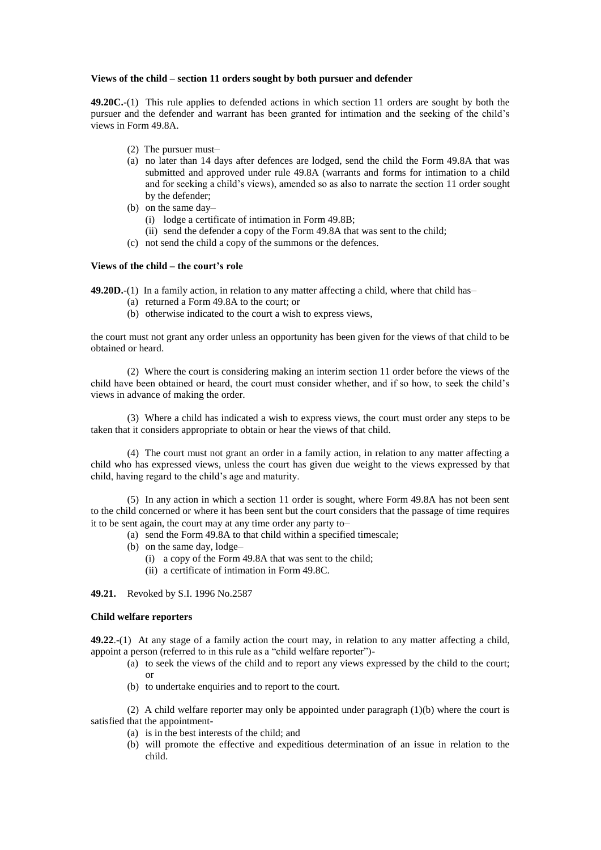## **Views of the child – section 11 orders sought by both pursuer and defender**

**49.20C.**-(1) This rule applies to defended actions in which section 11 orders are sought by both the pursuer and the defender and warrant has been granted for intimation and the seeking of the child's views in Form 49.8A.

- (2) The pursuer must–
- (a) no later than 14 days after defences are lodged, send the child the Form 49.8A that was submitted and approved under rule 49.8A (warrants and forms for intimation to a child and for seeking a child's views), amended so as also to narrate the section 11 order sought by the defender;
- (b) on the same day– (i) lodge a certificate of intimation in Form 49.8B;
	- (ii) send the defender a copy of the Form 49.8A that was sent to the child;
- (c) not send the child a copy of the summons or the defences.

# **Views of the child – the court's role**

**49.20D.**-(1) In a family action, in relation to any matter affecting a child, where that child has–

- (a) returned a Form 49.8A to the court; or
- (b) otherwise indicated to the court a wish to express views,

the court must not grant any order unless an opportunity has been given for the views of that child to be obtained or heard.

(2) Where the court is considering making an interim section 11 order before the views of the child have been obtained or heard, the court must consider whether, and if so how, to seek the child's views in advance of making the order.

(3) Where a child has indicated a wish to express views, the court must order any steps to be taken that it considers appropriate to obtain or hear the views of that child.

(4) The court must not grant an order in a family action, in relation to any matter affecting a child who has expressed views, unless the court has given due weight to the views expressed by that child, having regard to the child's age and maturity.

(5) In any action in which a section 11 order is sought, where Form 49.8A has not been sent to the child concerned or where it has been sent but the court considers that the passage of time requires it to be sent again, the court may at any time order any party to–

- (a) send the Form 49.8A to that child within a specified timescale;
- (b) on the same day, lodge–
	- (i) a copy of the Form 49.8A that was sent to the child;
	- (ii) a certificate of intimation in Form 49.8C.

# **49.21.** Revoked by S.I. 1996 No.2587

#### **Child welfare reporters**

**49.22**.-(1) At any stage of a family action the court may, in relation to any matter affecting a child, appoint a person (referred to in this rule as a "child welfare reporter")-

- (a) to seek the views of the child and to report any views expressed by the child to the court; or
- (b) to undertake enquiries and to report to the court.

(2) A child welfare reporter may only be appointed under paragraph (1)(b) where the court is satisfied that the appointment-

- (a) is in the best interests of the child; and
- (b) will promote the effective and expeditious determination of an issue in relation to the child.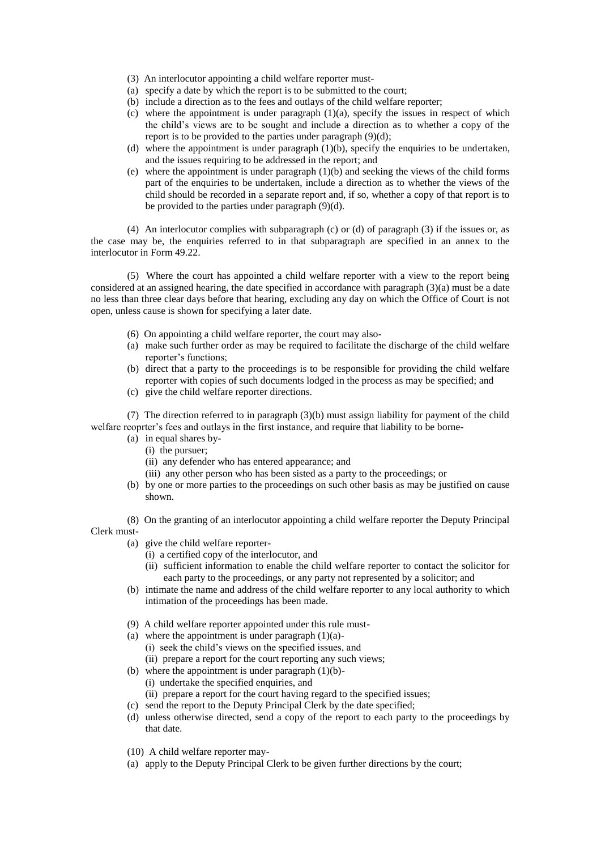- (3) An interlocutor appointing a child welfare reporter must-
- (a) specify a date by which the report is to be submitted to the court;
- (b) include a direction as to the fees and outlays of the child welfare reporter;
- (c) where the appointment is under paragraph  $(1)(a)$ , specify the issues in respect of which the child's views are to be sought and include a direction as to whether a copy of the report is to be provided to the parties under paragraph (9)(d);
- (d) where the appointment is under paragraph  $(1)(b)$ , specify the enquiries to be undertaken, and the issues requiring to be addressed in the report; and
- (e) where the appointment is under paragraph (1)(b) and seeking the views of the child forms part of the enquiries to be undertaken, include a direction as to whether the views of the child should be recorded in a separate report and, if so, whether a copy of that report is to be provided to the parties under paragraph (9)(d).

(4) An interlocutor complies with subparagraph (c) or (d) of paragraph (3) if the issues or, as the case may be, the enquiries referred to in that subparagraph are specified in an annex to the interlocutor in Form 49.22.

(5) Where the court has appointed a child welfare reporter with a view to the report being considered at an assigned hearing, the date specified in accordance with paragraph (3)(a) must be a date no less than three clear days before that hearing, excluding any day on which the Office of Court is not open, unless cause is shown for specifying a later date.

- (6) On appointing a child welfare reporter, the court may also-
- (a) make such further order as may be required to facilitate the discharge of the child welfare reporter's functions;
- (b) direct that a party to the proceedings is to be responsible for providing the child welfare reporter with copies of such documents lodged in the process as may be specified; and
- (c) give the child welfare reporter directions.

(7) The direction referred to in paragraph (3)(b) must assign liability for payment of the child welfare reoprter's fees and outlays in the first instance, and require that liability to be borne-

- (a) in equal shares by-
	- (i) the pursuer;
	- (ii) any defender who has entered appearance; and
	- (iii) any other person who has been sisted as a party to the proceedings; or
- (b) by one or more parties to the proceedings on such other basis as may be justified on cause shown.

(8) On the granting of an interlocutor appointing a child welfare reporter the Deputy Principal Clerk must-

- (a) give the child welfare reporter-
	- (i) a certified copy of the interlocutor, and
	- (ii) sufficient information to enable the child welfare reporter to contact the solicitor for each party to the proceedings, or any party not represented by a solicitor; and
- (b) intimate the name and address of the child welfare reporter to any local authority to which intimation of the proceedings has been made.
- (9) A child welfare reporter appointed under this rule must-
- (a) where the appointment is under paragraph  $(1)(a)$ -
	- (i) seek the child's views on the specified issues, and
	- (ii) prepare a report for the court reporting any such views;
- (b) where the appointment is under paragraph  $(1)(b)$ -(i) undertake the specified enquiries, and
	- (ii) prepare a report for the court having regard to the specified issues;
- (c) send the report to the Deputy Principal Clerk by the date specified;
- (d) unless otherwise directed, send a copy of the report to each party to the proceedings by that date.
- (10) A child welfare reporter may-
- (a) apply to the Deputy Principal Clerk to be given further directions by the court;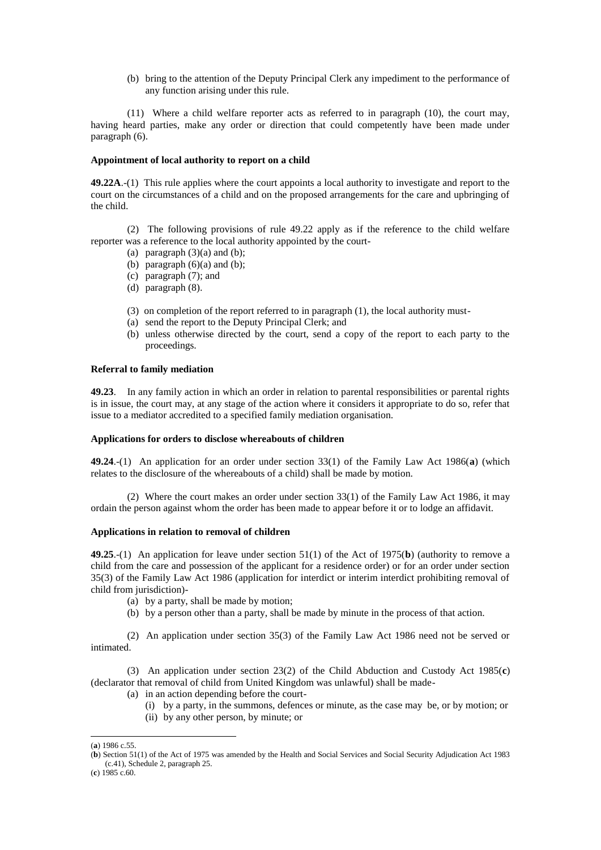(b) bring to the attention of the Deputy Principal Clerk any impediment to the performance of any function arising under this rule.

(11) Where a child welfare reporter acts as referred to in paragraph (10), the court may, having heard parties, make any order or direction that could competently have been made under paragraph (6).

## **Appointment of local authority to report on a child**

**49.22A**.-(1) This rule applies where the court appoints a local authority to investigate and report to the court on the circumstances of a child and on the proposed arrangements for the care and upbringing of the child.

(2) The following provisions of rule 49.22 apply as if the reference to the child welfare reporter was a reference to the local authority appointed by the court-

- (a) paragraph  $(3)(a)$  and  $(b)$ ;
- (b) paragraph  $(6)(a)$  and  $(b)$ ;
- (c) paragraph (7); and
- (d) paragraph (8).
- (3) on completion of the report referred to in paragraph (1), the local authority must-
- (a) send the report to the Deputy Principal Clerk; and
- (b) unless otherwise directed by the court, send a copy of the report to each party to the proceedings.

## **Referral to family mediation**

**49.23**. In any family action in which an order in relation to parental responsibilities or parental rights is in issue, the court may, at any stage of the action where it considers it appropriate to do so, refer that issue to a mediator accredited to a specified family mediation organisation.

#### **Applications for orders to disclose whereabouts of children**

**49.24**.-(1) An application for an order under section 33(1) of the Family Law Act 1986(**a**) (which relates to the disclosure of the whereabouts of a child) shall be made by motion.

(2) Where the court makes an order under section 33(1) of the Family Law Act 1986, it may ordain the person against whom the order has been made to appear before it or to lodge an affidavit.

#### **Applications in relation to removal of children**

**49.25**.-(1) An application for leave under section 51(1) of the Act of 1975(**b**) (authority to remove a child from the care and possession of the applicant for a residence order) or for an order under section 35(3) of the Family Law Act 1986 (application for interdict or interim interdict prohibiting removal of child from jurisdiction)-

- (a) by a party, shall be made by motion;
- (b) by a person other than a party, shall be made by minute in the process of that action.

(2) An application under section 35(3) of the Family Law Act 1986 need not be served or intimated.

(3) An application under section 23(2) of the Child Abduction and Custody Act 1985(**c**) (declarator that removal of child from United Kingdom was unlawful) shall be made-

- (a) in an action depending before the court-
	- (i) by a party, in the summons, defences or minute, as the case may be, or by motion; or
	- (ii) by any other person, by minute; or

<sup>(</sup>**a**) 1986 c.55.

<sup>(</sup>**b**) Section 51(1) of the Act of 1975 was amended by the Health and Social Services and Social Security Adjudication Act 1983 (c.41), Schedule 2, paragraph 25.

<sup>(</sup>**c**) 1985 c.60.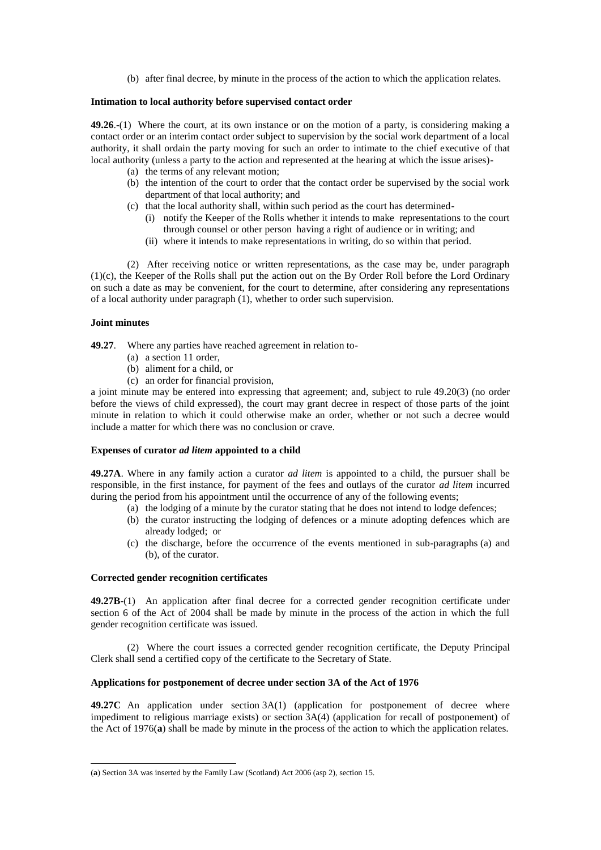(b) after final decree, by minute in the process of the action to which the application relates.

## **Intimation to local authority before supervised contact order**

**49.26**.-(1) Where the court, at its own instance or on the motion of a party, is considering making a contact order or an interim contact order subject to supervision by the social work department of a local authority, it shall ordain the party moving for such an order to intimate to the chief executive of that local authority (unless a party to the action and represented at the hearing at which the issue arises)-

- (a) the terms of any relevant motion;
- (b) the intention of the court to order that the contact order be supervised by the social work department of that local authority; and
- (c) that the local authority shall, within such period as the court has determined-
	- (i) notify the Keeper of the Rolls whether it intends to make representations to the court through counsel or other person having a right of audience or in writing; and
	- (ii) where it intends to make representations in writing, do so within that period.

(2) After receiving notice or written representations, as the case may be, under paragraph (1)(c), the Keeper of the Rolls shall put the action out on the By Order Roll before the Lord Ordinary on such a date as may be convenient, for the court to determine, after considering any representations of a local authority under paragraph (1), whether to order such supervision.

#### **Joint minutes**

 $\overline{a}$ 

**49.27**. Where any parties have reached agreement in relation to-

- (a) a section 11 order,
- (b) aliment for a child, or
- (c) an order for financial provision,

a joint minute may be entered into expressing that agreement; and, subject to rule 49.20(3) (no order before the views of child expressed), the court may grant decree in respect of those parts of the joint minute in relation to which it could otherwise make an order, whether or not such a decree would include a matter for which there was no conclusion or crave.

# **Expenses of curator** *ad litem* **appointed to a child**

**49.27A**. Where in any family action a curator *ad litem* is appointed to a child, the pursuer shall be responsible, in the first instance, for payment of the fees and outlays of the curator *ad litem* incurred during the period from his appointment until the occurrence of any of the following events;

- (a) the lodging of a minute by the curator stating that he does not intend to lodge defences;
	- (b) the curator instructing the lodging of defences or a minute adopting defences which are already lodged; or
	- (c) the discharge, before the occurrence of the events mentioned in sub-paragraphs (a) and (b), of the curator.

#### **Corrected gender recognition certificates**

**49.27B**-(1)An application after final decree for a corrected gender recognition certificate under section 6 of the Act of 2004 shall be made by minute in the process of the action in which the full gender recognition certificate was issued.

(2) Where the court issues a corrected gender recognition certificate, the Deputy Principal Clerk shall send a certified copy of the certificate to the Secretary of State.

# **Applications for postponement of decree under section 3A of the Act of 1976**

**49.27C** An application under section 3A(1) (application for postponement of decree where impediment to religious marriage exists) or section 3A(4) (application for recall of postponement) of the Act of 1976(**a**) shall be made by minute in the process of the action to which the application relates.

<sup>(</sup>**a**) Section 3A was inserted by the Family Law (Scotland) Act 2006 (asp 2), section 15.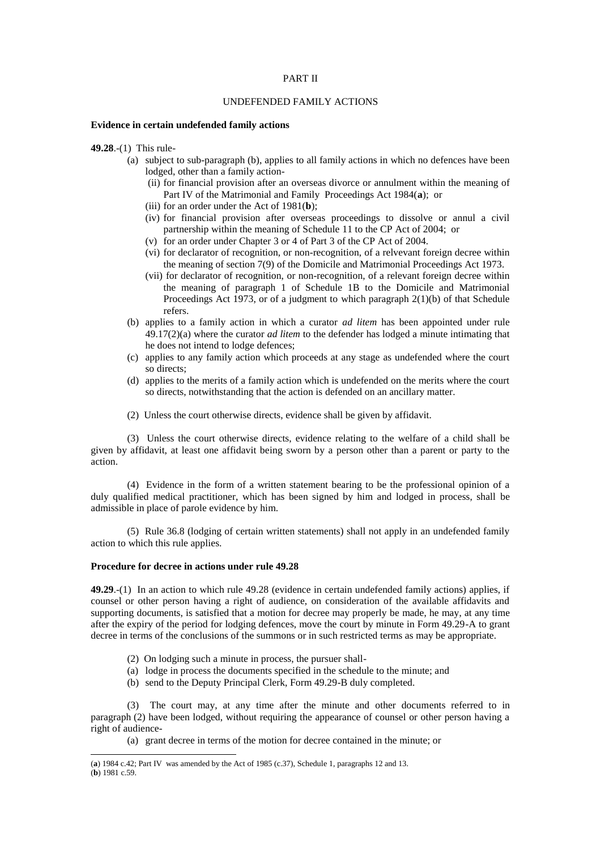#### PART II

#### UNDEFENDED FAMILY ACTIONS

#### **Evidence in certain undefended family actions**

## **49.28**.-(1) This rule-

- (a) subject to sub-paragraph (b), applies to all family actions in which no defences have been lodged, other than a family action-
	- (ii) for financial provision after an overseas divorce or annulment within the meaning of Part IV of the Matrimonial and Family Proceedings Act 1984(**a**); or
	- (iii) for an order under the Act of 1981(**b**);
	- (iv) for financial provision after overseas proceedings to dissolve or annul a civil partnership within the meaning of Schedule 11 to the CP Act of 2004; or
	- (v) for an order under Chapter 3 or 4 of Part 3 of the CP Act of 2004.
	- (vi) for declarator of recognition, or non-recognition, of a relvevant foreign decree within the meaning of section 7(9) of the Domicile and Matrimonial Proceedings Act 1973.
	- (vii) for declarator of recognition, or non-recognition, of a relevant foreign decree within the meaning of paragraph 1 of Schedule 1B to the Domicile and Matrimonial Proceedings Act 1973, or of a judgment to which paragraph  $2(1)(b)$  of that Schedule refers.
- (b) applies to a family action in which a curator *ad litem* has been appointed under rule 49.17(2)(a) where the curator *ad litem* to the defender has lodged a minute intimating that he does not intend to lodge defences;
- (c) applies to any family action which proceeds at any stage as undefended where the court so directs;
- (d) applies to the merits of a family action which is undefended on the merits where the court so directs, notwithstanding that the action is defended on an ancillary matter.
- (2) Unless the court otherwise directs, evidence shall be given by affidavit.

(3) Unless the court otherwise directs, evidence relating to the welfare of a child shall be given by affidavit, at least one affidavit being sworn by a person other than a parent or party to the action.

(4) Evidence in the form of a written statement bearing to be the professional opinion of a duly qualified medical practitioner, which has been signed by him and lodged in process, shall be admissible in place of parole evidence by him.

(5) Rule 36.8 (lodging of certain written statements) shall not apply in an undefended family action to which this rule applies.

#### **Procedure for decree in actions under rule 49.28**

 $\overline{a}$ 

**49.29**.-(1) In an action to which rule 49.28 (evidence in certain undefended family actions) applies, if counsel or other person having a right of audience, on consideration of the available affidavits and supporting documents, is satisfied that a motion for decree may properly be made, he may, at any time after the expiry of the period for lodging defences, move the court by minute in Form 49.29-A to grant decree in terms of the conclusions of the summons or in such restricted terms as may be appropriate.

- (2) On lodging such a minute in process, the pursuer shall-
- (a) lodge in process the documents specified in the schedule to the minute; and
- (b) send to the Deputy Principal Clerk, Form 49.29-B duly completed.

(3) The court may, at any time after the minute and other documents referred to in paragraph (2) have been lodged, without requiring the appearance of counsel or other person having a right of audience-

(a) grant decree in terms of the motion for decree contained in the minute; or

<sup>(</sup>**a**) 1984 c.42; Part IV was amended by the Act of 1985 (c.37), Schedule 1, paragraphs 12 and 13. (**b**) 1981 c.59.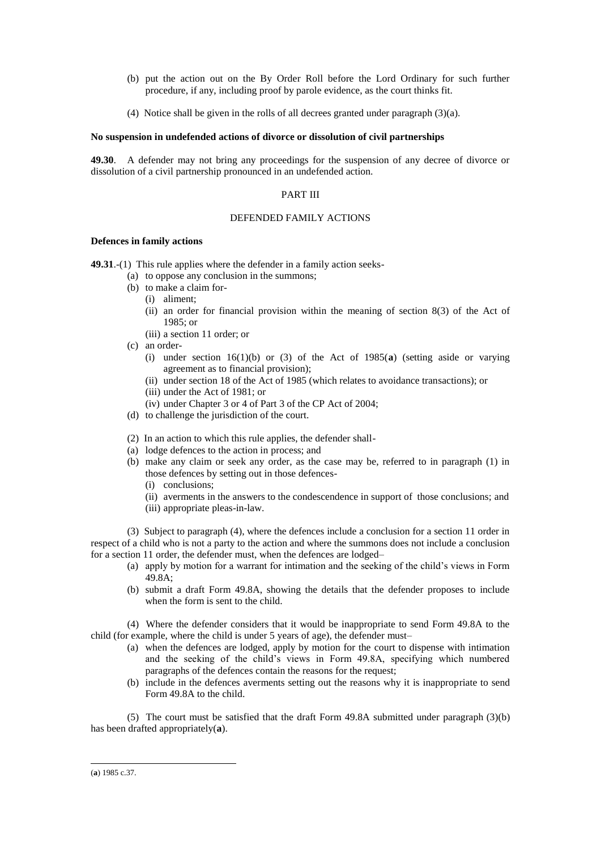- (b) put the action out on the By Order Roll before the Lord Ordinary for such further procedure, if any, including proof by parole evidence, as the court thinks fit.
- (4) Notice shall be given in the rolls of all decrees granted under paragraph (3)(a).

## **No suspension in undefended actions of divorce or dissolution of civil partnerships**

**49.30**. A defender may not bring any proceedings for the suspension of any decree of divorce or dissolution of a civil partnership pronounced in an undefended action.

## PART III

## DEFENDED FAMILY ACTIONS

### **Defences in family actions**

**49.31**.-(1) This rule applies where the defender in a family action seeks-

- (a) to oppose any conclusion in the summons;
- (b) to make a claim for-
	- (i) aliment;
	- (ii) an order for financial provision within the meaning of section 8(3) of the Act of  $1985$ ; or
	- (iii) a section 11 order; or
- (c) an order-
	- (i) under section  $16(1)(b)$  or (3) of the Act of  $1985(a)$  (setting aside or varying agreement as to financial provision);
	- (ii) under section 18 of the Act of 1985 (which relates to avoidance transactions); or
	- (iii) under the Act of 1981; or
	- (iv) under Chapter 3 or 4 of Part 3 of the CP Act of 2004;
- (d) to challenge the jurisdiction of the court.
- (2) In an action to which this rule applies, the defender shall-
- (a) lodge defences to the action in process; and
- (b) make any claim or seek any order, as the case may be, referred to in paragraph (1) in those defences by setting out in those defences-
	- (i) conclusions;
	- (ii) averments in the answers to the condescendence in support of those conclusions; and
	- (iii) appropriate pleas-in-law.

(3) Subject to paragraph (4), where the defences include a conclusion for a section 11 order in respect of a child who is not a party to the action and where the summons does not include a conclusion for a section 11 order, the defender must, when the defences are lodged–

- (a) apply by motion for a warrant for intimation and the seeking of the child's views in Form 49.8A;
- (b) submit a draft Form 49.8A, showing the details that the defender proposes to include when the form is sent to the child.

(4) Where the defender considers that it would be inappropriate to send Form 49.8A to the child (for example, where the child is under 5 years of age), the defender must–

- (a) when the defences are lodged, apply by motion for the court to dispense with intimation and the seeking of the child's views in Form 49.8A, specifying which numbered paragraphs of the defences contain the reasons for the request;
- (b) include in the defences averments setting out the reasons why it is inappropriate to send Form 49.8A to the child.

(5) The court must be satisfied that the draft Form 49.8A submitted under paragraph (3)(b) has been drafted appropriately(**a**).

<sup>(</sup>**a**) 1985 c.37.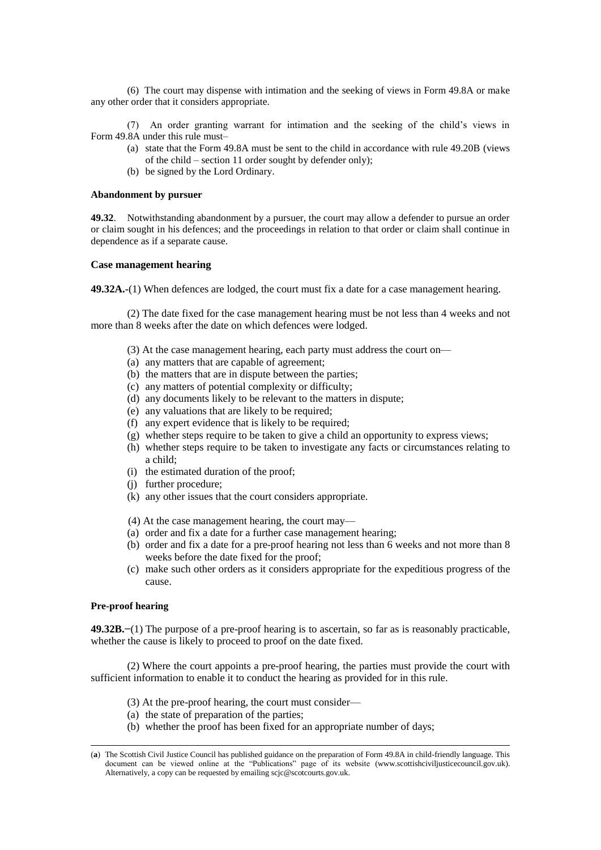(6) The court may dispense with intimation and the seeking of views in Form 49.8A or make any other order that it considers appropriate.

(7) An order granting warrant for intimation and the seeking of the child's views in Form 49.8A under this rule must–

- (a) state that the Form 49.8A must be sent to the child in accordance with rule 49.20B (views of the child – section 11 order sought by defender only);
- (b) be signed by the Lord Ordinary.

## **Abandonment by pursuer**

**49.32**. Notwithstanding abandonment by a pursuer, the court may allow a defender to pursue an order or claim sought in his defences; and the proceedings in relation to that order or claim shall continue in dependence as if a separate cause.

## **Case management hearing**

**49.32A.-**(1) When defences are lodged, the court must fix a date for a case management hearing.

(2) The date fixed for the case management hearing must be not less than 4 weeks and not more than 8 weeks after the date on which defences were lodged.

- (3) At the case management hearing, each party must address the court on—
- (a) any matters that are capable of agreement;
- (b) the matters that are in dispute between the parties;
- (c) any matters of potential complexity or difficulty;
- (d) any documents likely to be relevant to the matters in dispute;
- (e) any valuations that are likely to be required;
- (f) any expert evidence that is likely to be required;
- (g) whether steps require to be taken to give a child an opportunity to express views;
- (h) whether steps require to be taken to investigate any facts or circumstances relating to a child;
- (i) the estimated duration of the proof;
- (j) further procedure;
- (k) any other issues that the court considers appropriate.
- (4) At the case management hearing, the court may—
- (a) order and fix a date for a further case management hearing;
- (b) order and fix a date for a pre-proof hearing not less than 6 weeks and not more than 8 weeks before the date fixed for the proof;
- (c) make such other orders as it considers appropriate for the expeditious progress of the cause.

## **Pre-proof hearing**

 $\overline{a}$ 

**49.32B.−**(1) The purpose of a pre-proof hearing is to ascertain, so far as is reasonably practicable, whether the cause is likely to proceed to proof on the date fixed.

(2) Where the court appoints a pre-proof hearing, the parties must provide the court with sufficient information to enable it to conduct the hearing as provided for in this rule.

- (3) At the pre-proof hearing, the court must consider—
- (a) the state of preparation of the parties;
- (b) whether the proof has been fixed for an appropriate number of days;

<sup>(</sup>**a**) The Scottish Civil Justice Council has published guidance on the preparation of Form 49.8A in child-friendly language. This document can be viewed online at the "Publications" page of its website (www.scottishciviljusticecouncil.gov.uk). Alternatively, a copy can be requested by emailing scjc@scotcourts.gov.uk.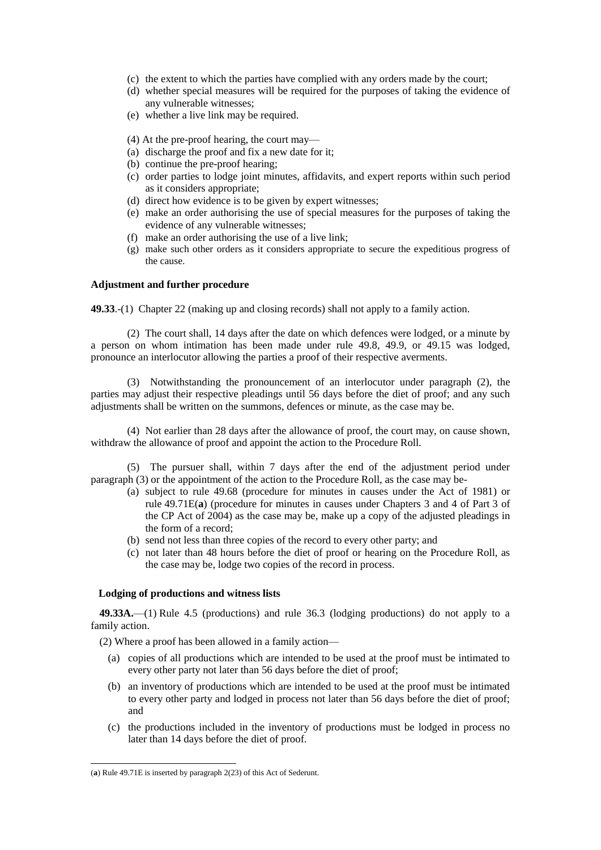- (c) the extent to which the parties have complied with any orders made by the court;
- (d) whether special measures will be required for the purposes of taking the evidence of any vulnerable witnesses;
- (e) whether a live link may be required.
- (4) At the pre-proof hearing, the court may—
- (a) discharge the proof and fix a new date for it;
- (b) continue the pre-proof hearing;
- (c) order parties to lodge joint minutes, affidavits, and expert reports within such period as it considers appropriate;
- (d) direct how evidence is to be given by expert witnesses;
- (e) make an order authorising the use of special measures for the purposes of taking the evidence of any vulnerable witnesses;
- (f) make an order authorising the use of a live link;
- (g) make such other orders as it considers appropriate to secure the expeditious progress of the cause.

# **Adjustment and further procedure**

**49.33**.-(1) Chapter 22 (making up and closing records) shall not apply to a family action.

(2) The court shall, 14 days after the date on which defences were lodged, or a minute by a person on whom intimation has been made under rule 49.8, 49.9, or 49.15 was lodged, pronounce an interlocutor allowing the parties a proof of their respective averments.

(3) Notwithstanding the pronouncement of an interlocutor under paragraph (2), the parties may adjust their respective pleadings until 56 days before the diet of proof; and any such adjustments shall be written on the summons, defences or minute, as the case may be.

(4) Not earlier than 28 days after the allowance of proof, the court may, on cause shown, withdraw the allowance of proof and appoint the action to the Procedure Roll.

(5) The pursuer shall, within 7 days after the end of the adjustment period under paragraph (3) or the appointment of the action to the Procedure Roll, as the case may be-

- (a) subject to rule 49.68 (procedure for minutes in causes under the Act of 1981) or rule 49.71E(**a**) (procedure for minutes in causes under Chapters 3 and 4 of Part 3 of the CP Act of 2004) as the case may be, make up a copy of the adjusted pleadings in the form of a record;
- (b) send not less than three copies of the record to every other party; and
- (c) not later than 48 hours before the diet of proof or hearing on the Procedure Roll, as the case may be, lodge two copies of the record in process.

## **Lodging of productions and witness lists**

**49.33A.**—(1) Rule 4.5 (productions) and rule 36.3 (lodging productions) do not apply to a family action.

(2) Where a proof has been allowed in a family action—

- (a) copies of all productions which are intended to be used at the proof must be intimated to every other party not later than 56 days before the diet of proof;
- (b) an inventory of productions which are intended to be used at the proof must be intimated to every other party and lodged in process not later than 56 days before the diet of proof; and
- (c) the productions included in the inventory of productions must be lodged in process no later than 14 days before the diet of proof.

<sup>(</sup>**a**) Rule 49.71E is inserted by paragraph 2(23) of this Act of Sederunt.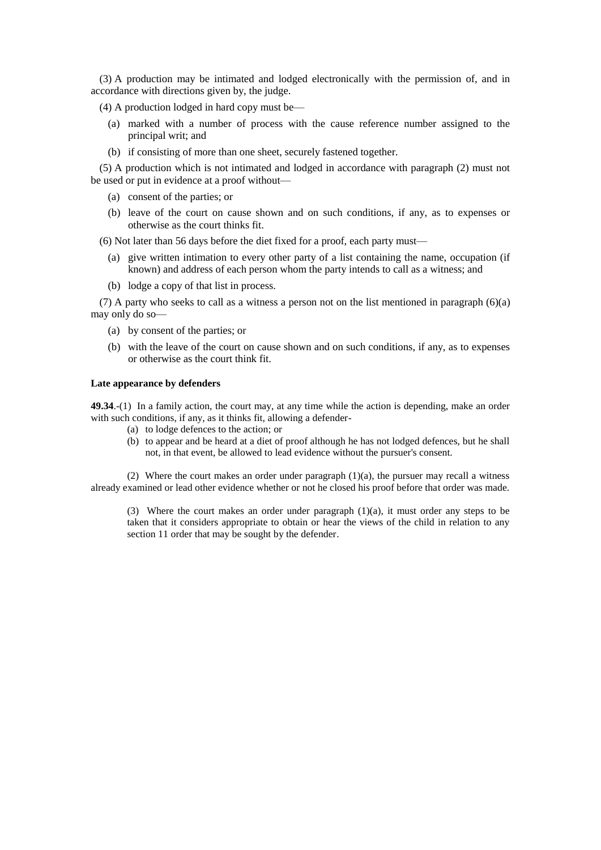(3) A production may be intimated and lodged electronically with the permission of, and in accordance with directions given by, the judge.

(4) A production lodged in hard copy must be—

- (a) marked with a number of process with the cause reference number assigned to the principal writ; and
- (b) if consisting of more than one sheet, securely fastened together.

(5) A production which is not intimated and lodged in accordance with paragraph (2) must not be used or put in evidence at a proof without—

- (a) consent of the parties; or
- (b) leave of the court on cause shown and on such conditions, if any, as to expenses or otherwise as the court thinks fit.

(6) Not later than 56 days before the diet fixed for a proof, each party must—

- (a) give written intimation to every other party of a list containing the name, occupation (if known) and address of each person whom the party intends to call as a witness; and
- (b) lodge a copy of that list in process.

(7) A party who seeks to call as a witness a person not on the list mentioned in paragraph  $(6)(a)$ may only do so—

- (a) by consent of the parties; or
- (b) with the leave of the court on cause shown and on such conditions, if any, as to expenses or otherwise as the court think fit.

## **Late appearance by defenders**

**49.34**.-(1) In a family action, the court may, at any time while the action is depending, make an order with such conditions, if any, as it thinks fit, allowing a defender-

- (a) to lodge defences to the action; or
- (b) to appear and be heard at a diet of proof although he has not lodged defences, but he shall not, in that event, be allowed to lead evidence without the pursuer's consent.

(2) Where the court makes an order under paragraph  $(1)(a)$ , the pursuer may recall a witness already examined or lead other evidence whether or not he closed his proof before that order was made.

(3) Where the court makes an order under paragraph  $(1)(a)$ , it must order any steps to be taken that it considers appropriate to obtain or hear the views of the child in relation to any section 11 order that may be sought by the defender.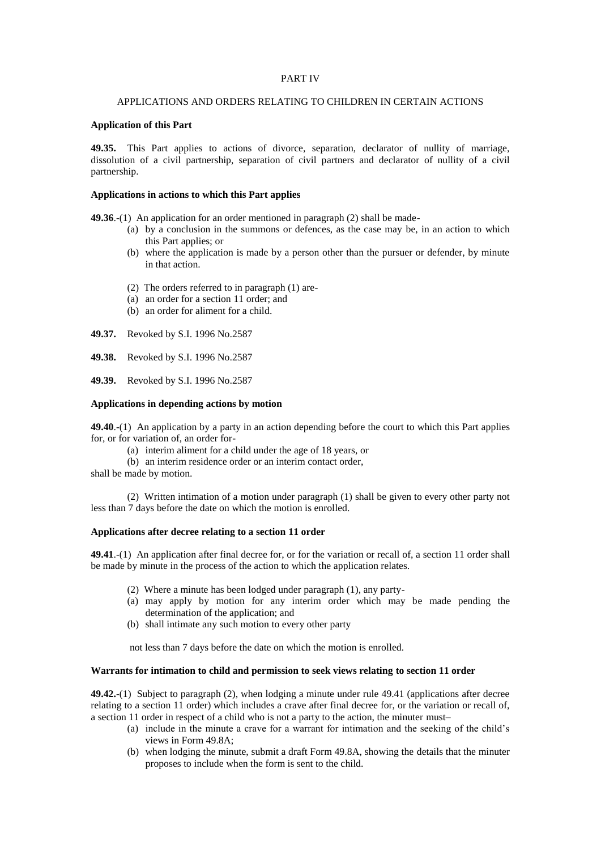#### PART IV

# APPLICATIONS AND ORDERS RELATING TO CHILDREN IN CERTAIN ACTIONS

#### **Application of this Part**

**49.35.** This Part applies to actions of divorce, separation, declarator of nullity of marriage, dissolution of a civil partnership, separation of civil partners and declarator of nullity of a civil partnership.

## **Applications in actions to which this Part applies**

**49.36**.-(1) An application for an order mentioned in paragraph (2) shall be made-

- (a) by a conclusion in the summons or defences, as the case may be, in an action to which this Part applies; or
- (b) where the application is made by a person other than the pursuer or defender, by minute in that action.
- (2) The orders referred to in paragraph (1) are-
- (a) an order for a section 11 order; and
- (b) an order for aliment for a child.
- **49.37.** Revoked by S.I. 1996 No.2587
- **49.38.** Revoked by S.I. 1996 No.2587
- **49.39.** Revoked by S.I. 1996 No.2587

#### **Applications in depending actions by motion**

**49.40**.-(1) An application by a party in an action depending before the court to which this Part applies for, or for variation of, an order for-

- (a) interim aliment for a child under the age of 18 years, or
- (b) an interim residence order or an interim contact order,

shall be made by motion.

(2) Written intimation of a motion under paragraph (1) shall be given to every other party not less than 7 days before the date on which the motion is enrolled.

#### **Applications after decree relating to a section 11 order**

**49.41**.-(1) An application after final decree for, or for the variation or recall of, a section 11 order shall be made by minute in the process of the action to which the application relates.

- (2) Where a minute has been lodged under paragraph (1), any party-
- (a) may apply by motion for any interim order which may be made pending the determination of the application; and
- (b) shall intimate any such motion to every other party

not less than 7 days before the date on which the motion is enrolled.

#### **Warrants for intimation to child and permission to seek views relating to section 11 order**

**49.42.**-(1) Subject to paragraph (2), when lodging a minute under rule 49.41 (applications after decree relating to a section 11 order) which includes a crave after final decree for, or the variation or recall of, a section 11 order in respect of a child who is not a party to the action, the minuter must–

- (a) include in the minute a crave for a warrant for intimation and the seeking of the child's views in Form 49.8A;
- (b) when lodging the minute, submit a draft Form 49.8A, showing the details that the minuter proposes to include when the form is sent to the child.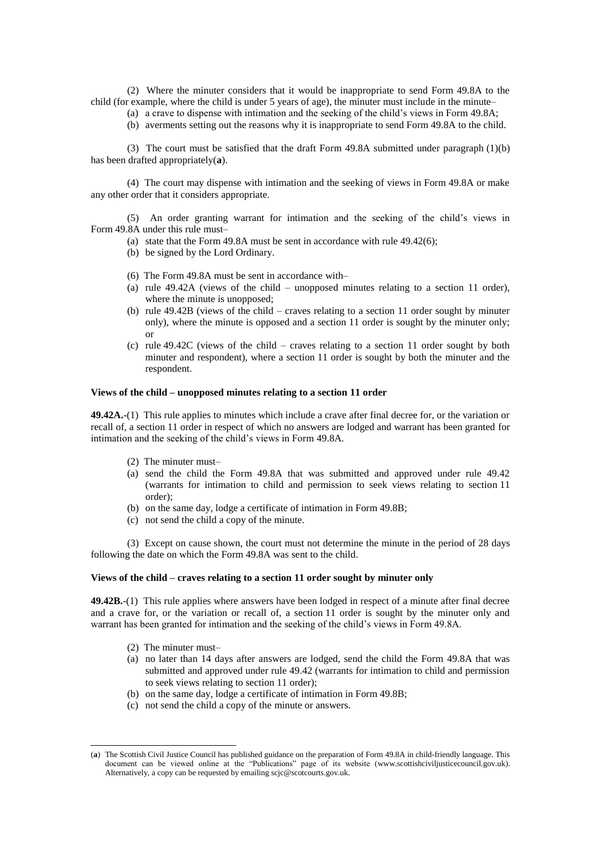(2) Where the minuter considers that it would be inappropriate to send Form 49.8A to the child (for example, where the child is under 5 years of age), the minuter must include in the minute–

- (a) a crave to dispense with intimation and the seeking of the child's views in Form 49.8A;
- (b) averments setting out the reasons why it is inappropriate to send Form 49.8A to the child.

(3) The court must be satisfied that the draft Form 49.8A submitted under paragraph  $(1)(b)$ has been drafted appropriately(**a**).

(4) The court may dispense with intimation and the seeking of views in Form 49.8A or make any other order that it considers appropriate.

(5) An order granting warrant for intimation and the seeking of the child's views in Form 49.8A under this rule must–

- (a) state that the Form 49.8A must be sent in accordance with rule 49.42(6);
- (b) be signed by the Lord Ordinary.
- (6) The Form 49.8A must be sent in accordance with–
- (a) rule 49.42A (views of the child unopposed minutes relating to a section 11 order), where the minute is unopposed;
- (b) rule 49.42B (views of the child craves relating to a section 11 order sought by minuter only), where the minute is opposed and a section 11 order is sought by the minuter only; or
- (c) rule 49.42C (views of the child craves relating to a section 11 order sought by both minuter and respondent), where a section 11 order is sought by both the minuter and the respondent.

## **Views of the child – unopposed minutes relating to a section 11 order**

**49.42A.**-(1) This rule applies to minutes which include a crave after final decree for, or the variation or recall of, a section 11 order in respect of which no answers are lodged and warrant has been granted for intimation and the seeking of the child's views in Form 49.8A.

- (2) The minuter must–
- (a) send the child the Form 49.8A that was submitted and approved under rule 49.42 (warrants for intimation to child and permission to seek views relating to section 11 order);
- (b) on the same day, lodge a certificate of intimation in Form 49.8B;
- (c) not send the child a copy of the minute.

(3) Except on cause shown, the court must not determine the minute in the period of 28 days following the date on which the Form 49.8A was sent to the child.

#### **Views of the child – craves relating to a section 11 order sought by minuter only**

**49.42B.**-(1) This rule applies where answers have been lodged in respect of a minute after final decree and a crave for, or the variation or recall of, a section 11 order is sought by the minuter only and warrant has been granted for intimation and the seeking of the child's views in Form 49.8A.

(2) The minuter must–

- (a) no later than 14 days after answers are lodged, send the child the Form 49.8A that was submitted and approved under rule 49.42 (warrants for intimation to child and permission to seek views relating to section 11 order);
- (b) on the same day, lodge a certificate of intimation in Form 49.8B;
- (c) not send the child a copy of the minute or answers.

<sup>(</sup>**a**) The Scottish Civil Justice Council has published guidance on the preparation of Form 49.8A in child-friendly language. This document can be viewed online at the "Publications" page of its website (www.scottishciviljusticecouncil.gov.uk). Alternatively, a copy can be requested by emailing scjc@scotcourts.gov.uk.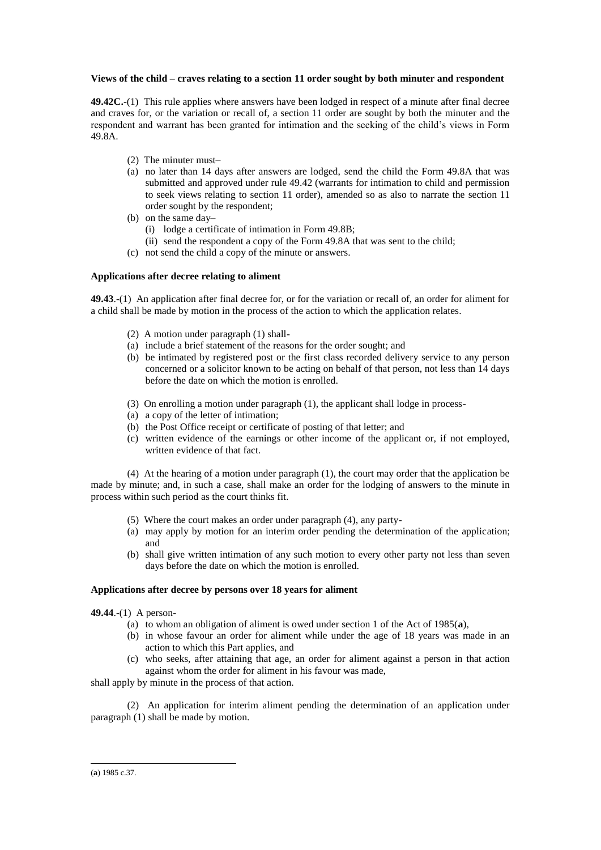## **Views of the child – craves relating to a section 11 order sought by both minuter and respondent**

**49.42C.**-(1) This rule applies where answers have been lodged in respect of a minute after final decree and craves for, or the variation or recall of, a section 11 order are sought by both the minuter and the respondent and warrant has been granted for intimation and the seeking of the child's views in Form 49.8A.

- (2) The minuter must–
- (a) no later than 14 days after answers are lodged, send the child the Form 49.8A that was submitted and approved under rule 49.42 (warrants for intimation to child and permission to seek views relating to section 11 order), amended so as also to narrate the section 11 order sought by the respondent;
- (b) on the same day–
	- (i) lodge a certificate of intimation in Form 49.8B;
	- (ii) send the respondent a copy of the Form 49.8A that was sent to the child;
- (c) not send the child a copy of the minute or answers.

### **Applications after decree relating to aliment**

**49.43**.-(1) An application after final decree for, or for the variation or recall of, an order for aliment for a child shall be made by motion in the process of the action to which the application relates.

- (2) A motion under paragraph (1) shall-
- (a) include a brief statement of the reasons for the order sought; and
- (b) be intimated by registered post or the first class recorded delivery service to any person concerned or a solicitor known to be acting on behalf of that person, not less than 14 days before the date on which the motion is enrolled.
- (3) On enrolling a motion under paragraph (1), the applicant shall lodge in process-
- (a) a copy of the letter of intimation;
- (b) the Post Office receipt or certificate of posting of that letter; and
- (c) written evidence of the earnings or other income of the applicant or, if not employed, written evidence of that fact.

(4) At the hearing of a motion under paragraph (1), the court may order that the application be made by minute; and, in such a case, shall make an order for the lodging of answers to the minute in process within such period as the court thinks fit.

- (5) Where the court makes an order under paragraph (4), any party-
- (a) may apply by motion for an interim order pending the determination of the application; and
- (b) shall give written intimation of any such motion to every other party not less than seven days before the date on which the motion is enrolled.

## **Applications after decree by persons over 18 years for aliment**

**49.44**.-(1) A person-

- (a) to whom an obligation of aliment is owed under section 1 of the Act of 1985(**a**),
- (b) in whose favour an order for aliment while under the age of 18 years was made in an action to which this Part applies, and
- (c) who seeks, after attaining that age, an order for aliment against a person in that action against whom the order for aliment in his favour was made,

shall apply by minute in the process of that action.

(2) An application for interim aliment pending the determination of an application under paragraph (1) shall be made by motion.

 $\overline{a}$ (**a**) 1985 c.37.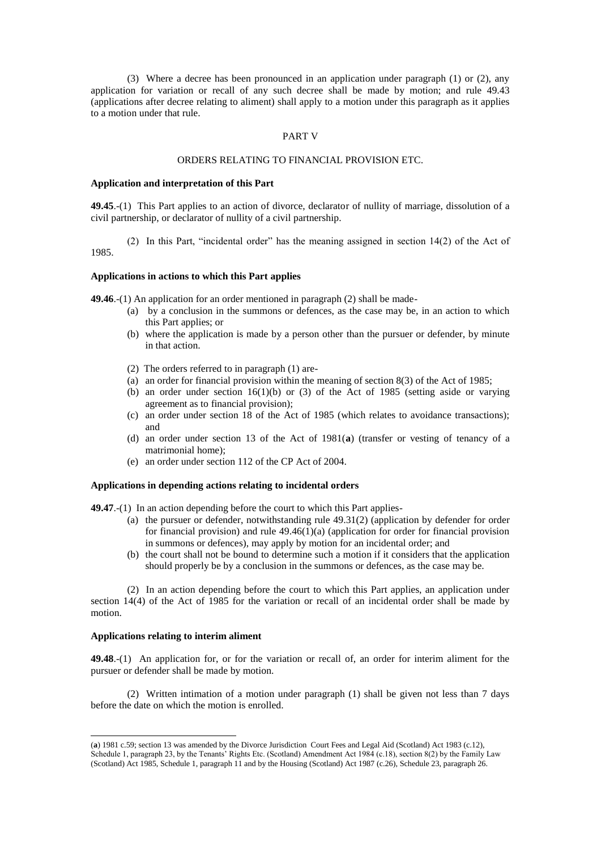(3) Where a decree has been pronounced in an application under paragraph (1) or (2), any application for variation or recall of any such decree shall be made by motion; and rule 49.43 (applications after decree relating to aliment) shall apply to a motion under this paragraph as it applies to a motion under that rule.

#### PART V

# ORDERS RELATING TO FINANCIAL PROVISION ETC.

#### **Application and interpretation of this Part**

**49.45**.-(1) This Part applies to an action of divorce, declarator of nullity of marriage, dissolution of a civil partnership, or declarator of nullity of a civil partnership.

(2) In this Part, "incidental order" has the meaning assigned in section 14(2) of the Act of 1985.

### **Applications in actions to which this Part applies**

**49.46**.-(1) An application for an order mentioned in paragraph (2) shall be made-

- (a) by a conclusion in the summons or defences, as the case may be, in an action to which this Part applies; or
- (b) where the application is made by a person other than the pursuer or defender, by minute in that action.
- (2) The orders referred to in paragraph (1) are-
- (a) an order for financial provision within the meaning of section 8(3) of the Act of 1985;
- (b) an order under section  $16(1)(b)$  or (3) of the Act of 1985 (setting aside or varying agreement as to financial provision);
- (c) an order under section 18 of the Act of 1985 (which relates to avoidance transactions); and
- (d) an order under section 13 of the Act of 1981(**a**) (transfer or vesting of tenancy of a matrimonial home);
- (e) an order under section 112 of the CP Act of 2004.

#### **Applications in depending actions relating to incidental orders**

**49.47**.-(1) In an action depending before the court to which this Part applies-

- (a) the pursuer or defender, notwithstanding rule 49.31(2) (application by defender for order for financial provision) and rule  $49.46(1)(a)$  (application for order for financial provision in summons or defences), may apply by motion for an incidental order; and
- (b) the court shall not be bound to determine such a motion if it considers that the application should properly be by a conclusion in the summons or defences, as the case may be.

(2) In an action depending before the court to which this Part applies, an application under section 14(4) of the Act of 1985 for the variation or recall of an incidental order shall be made by motion.

## **Applications relating to interim aliment**

-

**49.48**.-(1) An application for, or for the variation or recall of, an order for interim aliment for the pursuer or defender shall be made by motion.

(2) Written intimation of a motion under paragraph (1) shall be given not less than 7 days before the date on which the motion is enrolled.

<sup>(</sup>**a**) 1981 c.59; section 13 was amended by the Divorce Jurisdiction Court Fees and Legal Aid (Scotland) Act 1983 (c.12), Schedule 1, paragraph 23, by the Tenants' Rights Etc. (Scotland) Amendment Act 1984 (c.18), section 8(2) by the Family Law (Scotland) Act 1985, Schedule 1, paragraph 11 and by the Housing (Scotland) Act 1987 (c.26), Schedule 23, paragraph 26.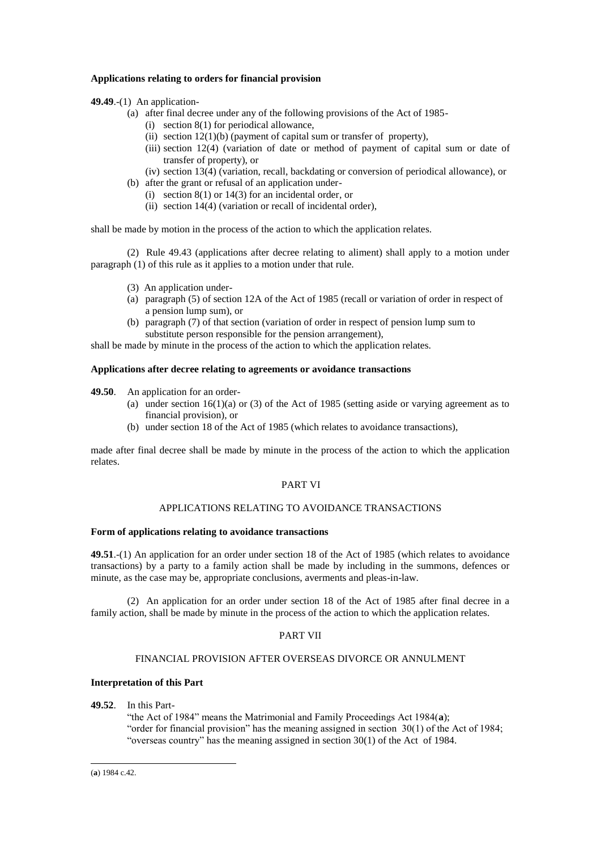## **Applications relating to orders for financial provision**

**49.49**.-(1) An application-

- (a) after final decree under any of the following provisions of the Act of 1985-
	- (i) section 8(1) for periodical allowance,
	- (ii) section  $12(1)(b)$  (payment of capital sum or transfer of property),
	- (iii) section 12(4) (variation of date or method of payment of capital sum or date of transfer of property), or
	- (iv) section 13(4) (variation, recall, backdating or conversion of periodical allowance), or
- (b) after the grant or refusal of an application under-
	- (i) section  $8(1)$  or  $14(3)$  for an incidental order, or
	- (ii) section 14(4) (variation or recall of incidental order),

shall be made by motion in the process of the action to which the application relates.

(2) Rule 49.43 (applications after decree relating to aliment) shall apply to a motion under paragraph (1) of this rule as it applies to a motion under that rule.

- (3) An application under-
- (a) paragraph (5) of section 12A of the Act of 1985 (recall or variation of order in respect of a pension lump sum), or
- (b) paragraph (7) of that section (variation of order in respect of pension lump sum to substitute person responsible for the pension arrangement),

shall be made by minute in the process of the action to which the application relates.

## **Applications after decree relating to agreements or avoidance transactions**

- **49.50**. An application for an order-
	- (a) under section  $16(1)(a)$  or (3) of the Act of 1985 (setting aside or varying agreement as to financial provision), or
	- (b) under section 18 of the Act of 1985 (which relates to avoidance transactions),

made after final decree shall be made by minute in the process of the action to which the application relates.

#### PART VI

#### APPLICATIONS RELATING TO AVOIDANCE TRANSACTIONS

#### **Form of applications relating to avoidance transactions**

**49.51**.-(1) An application for an order under section 18 of the Act of 1985 (which relates to avoidance transactions) by a party to a family action shall be made by including in the summons, defences or minute, as the case may be, appropriate conclusions, averments and pleas-in-law.

(2) An application for an order under section 18 of the Act of 1985 after final decree in a family action, shall be made by minute in the process of the action to which the application relates.

## PART VII

# FINANCIAL PROVISION AFTER OVERSEAS DIVORCE OR ANNULMENT

# **Interpretation of this Part**

**49.52**. In this Part-

"the Act of 1984" means the Matrimonial and Family Proceedings Act 1984(**a**); "order for financial provision" has the meaning assigned in section 30(1) of the Act of 1984; "overseas country" has the meaning assigned in section 30(1) of the Act of 1984.

 $\overline{a}$ (**a**) 1984 c.42.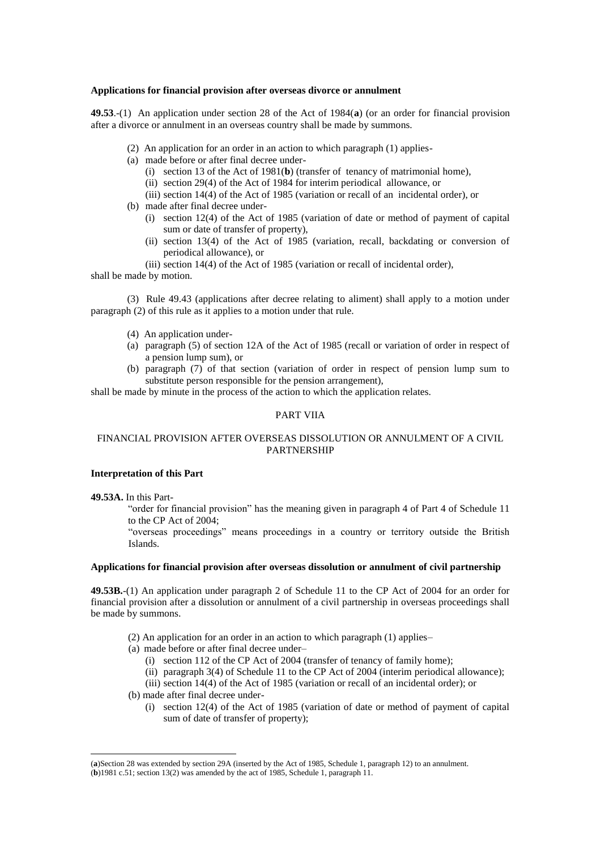### **Applications for financial provision after overseas divorce or annulment**

**49.53**.-(1) An application under section 28 of the Act of 1984(**a**) (or an order for financial provision after a divorce or annulment in an overseas country shall be made by summons.

- (2) An application for an order in an action to which paragraph (1) applies-
- (a) made before or after final decree under-
	- (i) section 13 of the Act of 1981(**b**) (transfer of tenancy of matrimonial home),
	- (ii) section 29(4) of the Act of 1984 for interim periodical allowance, or
	- (iii) section 14(4) of the Act of 1985 (variation or recall of an incidental order), or
- (b) made after final decree under-
	- (i) section 12(4) of the Act of 1985 (variation of date or method of payment of capital sum or date of transfer of property),
	- (ii) section 13(4) of the Act of 1985 (variation, recall, backdating or conversion of periodical allowance), or
	- (iii) section 14(4) of the Act of 1985 (variation or recall of incidental order),

shall be made by motion.

(3) Rule 49.43 (applications after decree relating to aliment) shall apply to a motion under paragraph (2) of this rule as it applies to a motion under that rule.

- (4) An application under-
- (a) paragraph (5) of section 12A of the Act of 1985 (recall or variation of order in respect of a pension lump sum), or
- (b) paragraph (7) of that section (variation of order in respect of pension lump sum to substitute person responsible for the pension arrangement),

shall be made by minute in the process of the action to which the application relates.

# PART VIIA

## FINANCIAL PROVISION AFTER OVERSEAS DISSOLUTION OR ANNULMENT OF A CIVIL PARTNERSHIP

# **Interpretation of this Part**

**49.53A.** In this Part-

-

"order for financial provision" has the meaning given in paragraph 4 of Part 4 of Schedule 11 to the CP Act of 2004;

"overseas proceedings" means proceedings in a country or territory outside the British Islands.

#### **Applications for financial provision after overseas dissolution or annulment of civil partnership**

**49.53B.**-(1) An application under paragraph 2 of Schedule 11 to the CP Act of 2004 for an order for financial provision after a dissolution or annulment of a civil partnership in overseas proceedings shall be made by summons.

- (2) An application for an order in an action to which paragraph (1) applies–
- (a) made before or after final decree under–
	- (i) section 112 of the CP Act of 2004 (transfer of tenancy of family home);
	- (ii) paragraph 3(4) of Schedule 11 to the CP Act of 2004 (interim periodical allowance);
	- (iii) section 14(4) of the Act of 1985 (variation or recall of an incidental order); or

(b) made after final decree under-

(i) section 12(4) of the Act of 1985 (variation of date or method of payment of capital sum of date of transfer of property);

<sup>(</sup>**a**)Section 28 was extended by section 29A (inserted by the Act of 1985, Schedule 1, paragraph 12) to an annulment. (**b**)1981 c.51; section 13(2) was amended by the act of 1985, Schedule 1, paragraph 11.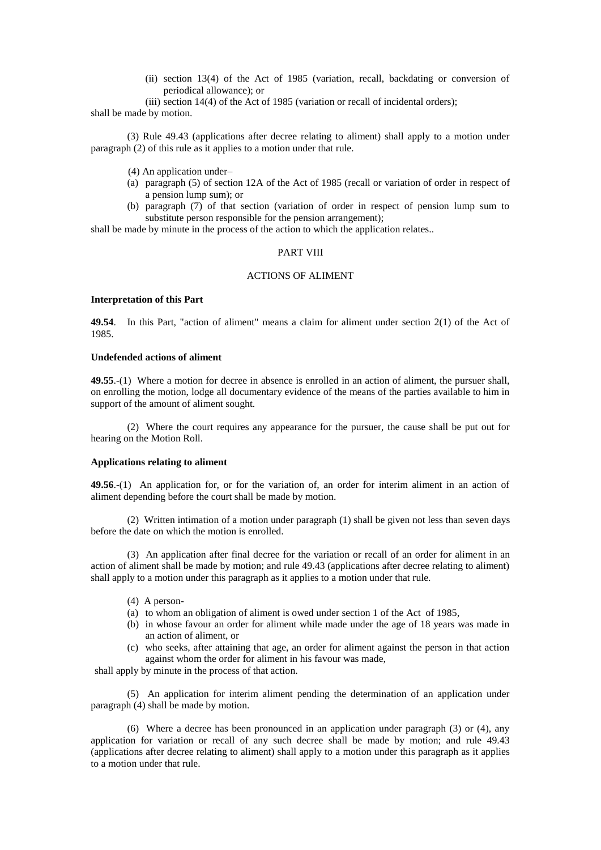- (ii) section 13(4) of the Act of 1985 (variation, recall, backdating or conversion of periodical allowance); or
- (iii) section 14(4) of the Act of 1985 (variation or recall of incidental orders);

shall be made by motion.

(3) Rule 49.43 (applications after decree relating to aliment) shall apply to a motion under paragraph (2) of this rule as it applies to a motion under that rule.

- (4) An application under–
- (a) paragraph (5) of section 12A of the Act of 1985 (recall or variation of order in respect of a pension lump sum); or
- (b) paragraph (7) of that section (variation of order in respect of pension lump sum to substitute person responsible for the pension arrangement);

shall be made by minute in the process of the action to which the application relates..

## PART VIII

## ACTIONS OF ALIMENT

#### **Interpretation of this Part**

**49.54**. In this Part, "action of aliment" means a claim for aliment under section 2(1) of the Act of 1985.

## **Undefended actions of aliment**

**49.55**.-(1) Where a motion for decree in absence is enrolled in an action of aliment, the pursuer shall, on enrolling the motion, lodge all documentary evidence of the means of the parties available to him in support of the amount of aliment sought.

(2) Where the court requires any appearance for the pursuer, the cause shall be put out for hearing on the Motion Roll.

## **Applications relating to aliment**

**49.56**.-(1) An application for, or for the variation of, an order for interim aliment in an action of aliment depending before the court shall be made by motion.

(2) Written intimation of a motion under paragraph (1) shall be given not less than seven days before the date on which the motion is enrolled.

(3) An application after final decree for the variation or recall of an order for aliment in an action of aliment shall be made by motion; and rule 49.43 (applications after decree relating to aliment) shall apply to a motion under this paragraph as it applies to a motion under that rule.

- (4) A person-
- (a) to whom an obligation of aliment is owed under section 1 of the Act of 1985,
- (b) in whose favour an order for aliment while made under the age of 18 years was made in an action of aliment, or
- (c) who seeks, after attaining that age, an order for aliment against the person in that action against whom the order for aliment in his favour was made,

shall apply by minute in the process of that action.

(5) An application for interim aliment pending the determination of an application under paragraph (4) shall be made by motion.

(6) Where a decree has been pronounced in an application under paragraph (3) or (4), any application for variation or recall of any such decree shall be made by motion; and rule 49.43 (applications after decree relating to aliment) shall apply to a motion under this paragraph as it applies to a motion under that rule.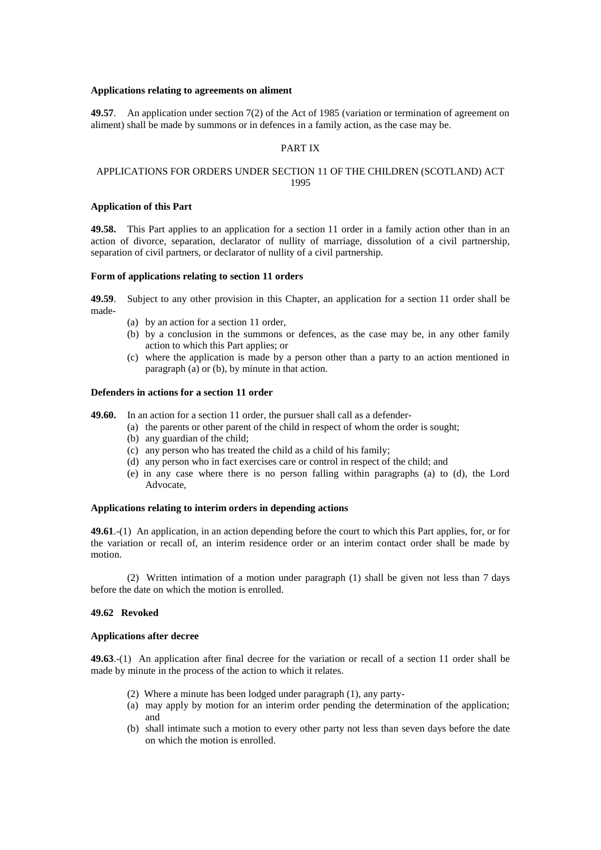#### **Applications relating to agreements on aliment**

**49.57**. An application under section 7(2) of the Act of 1985 (variation or termination of agreement on aliment) shall be made by summons or in defences in a family action, as the case may be.

## PART IX

## APPLICATIONS FOR ORDERS UNDER SECTION 11 OF THE CHILDREN (SCOTLAND) ACT 1995

### **Application of this Part**

**49.58.** This Part applies to an application for a section 11 order in a family action other than in an action of divorce, separation, declarator of nullity of marriage, dissolution of a civil partnership, separation of civil partners, or declarator of nullity of a civil partnership.

#### **Form of applications relating to section 11 orders**

**49.59**. Subject to any other provision in this Chapter, an application for a section 11 order shall be made-

- (a) by an action for a section 11 order,
- (b) by a conclusion in the summons or defences, as the case may be, in any other family action to which this Part applies; or
- (c) where the application is made by a person other than a party to an action mentioned in paragraph (a) or (b), by minute in that action.

# **Defenders in actions for a section 11 order**

**49.60.** In an action for a section 11 order, the pursuer shall call as a defender-

- (a) the parents or other parent of the child in respect of whom the order is sought;
- (b) any guardian of the child;
- (c) any person who has treated the child as a child of his family;
- (d) any person who in fact exercises care or control in respect of the child; and
- (e) in any case where there is no person falling within paragraphs (a) to (d), the Lord Advocate,

#### **Applications relating to interim orders in depending actions**

**49.61**.-(1) An application, in an action depending before the court to which this Part applies, for, or for the variation or recall of, an interim residence order or an interim contact order shall be made by motion.

(2) Written intimation of a motion under paragraph (1) shall be given not less than 7 days before the date on which the motion is enrolled.

### **49.62 Revoked**

## **Applications after decree**

**49.63**.-(1) An application after final decree for the variation or recall of a section 11 order shall be made by minute in the process of the action to which it relates.

- (2) Where a minute has been lodged under paragraph (1), any party-
- (a) may apply by motion for an interim order pending the determination of the application; and
- (b) shall intimate such a motion to every other party not less than seven days before the date on which the motion is enrolled.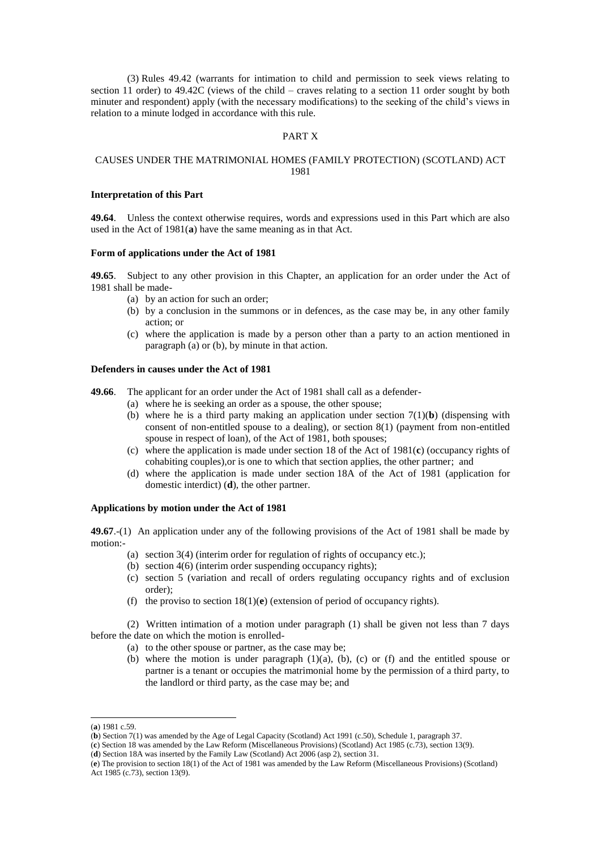(3) Rules 49.42 (warrants for intimation to child and permission to seek views relating to section 11 order) to 49.42C (views of the child – craves relating to a section 11 order sought by both minuter and respondent) apply (with the necessary modifications) to the seeking of the child's views in relation to a minute lodged in accordance with this rule.

#### PART X

# CAUSES UNDER THE MATRIMONIAL HOMES (FAMILY PROTECTION) (SCOTLAND) ACT 1981

### **Interpretation of this Part**

**49.64**. Unless the context otherwise requires, words and expressions used in this Part which are also used in the Act of 1981(**a**) have the same meaning as in that Act.

## **Form of applications under the Act of 1981**

**49.65**. Subject to any other provision in this Chapter, an application for an order under the Act of 1981 shall be made-

- (a) by an action for such an order;
- (b) by a conclusion in the summons or in defences, as the case may be, in any other family action; or
- (c) where the application is made by a person other than a party to an action mentioned in paragraph (a) or (b), by minute in that action.

## **Defenders in causes under the Act of 1981**

**49.66**. The applicant for an order under the Act of 1981 shall call as a defender-

- (a) where he is seeking an order as a spouse, the other spouse;
- (b) where he is a third party making an application under section 7(1)(**b**) (dispensing with consent of non-entitled spouse to a dealing), or section 8(1) (payment from non-entitled spouse in respect of loan), of the Act of 1981, both spouses;
- (c) where the application is made under section 18 of the Act of 1981(**c**) (occupancy rights of cohabiting couples),or is one to which that section applies, the other partner; and
- (d) where the application is made under section 18A of the Act of 1981 (application for domestic interdict) (**d**), the other partner.

#### **Applications by motion under the Act of 1981**

**49.67**.-(1) An application under any of the following provisions of the Act of 1981 shall be made by motion:-

- (a) section 3(4) (interim order for regulation of rights of occupancy etc.);
- (b) section 4(6) (interim order suspending occupancy rights);
- (c) section 5 (variation and recall of orders regulating occupancy rights and of exclusion order);
- (f) the proviso to section 18(1)(**e**) (extension of period of occupancy rights).

(2) Written intimation of a motion under paragraph (1) shall be given not less than 7 days before the date on which the motion is enrolled-

- (a) to the other spouse or partner, as the case may be;
- (b) where the motion is under paragraph  $(1)(a)$ ,  $(b)$ ,  $(c)$  or  $(f)$  and the entitled spouse or partner is a tenant or occupies the matrimonial home by the permission of a third party, to the landlord or third party, as the case may be; and

-

<sup>(</sup>**a**) 1981 c.59.

<sup>(</sup>**b**) Section 7(1) was amended by the Age of Legal Capacity (Scotland) Act 1991 (c.50), Schedule 1, paragraph 37.

<sup>(</sup>**c**) Section 18 was amended by the Law Reform (Miscellaneous Provisions) (Scotland) Act 1985 (c.73), section 13(9).

<sup>(</sup>**d**) Section 18A was inserted by the Family Law (Scotland) Act 2006 (asp 2), section 31.

<sup>(</sup>**e**) The provision to section 18(1) of the Act of 1981 was amended by the Law Reform (Miscellaneous Provisions) (Scotland) Act 1985 (c.73), section 13(9).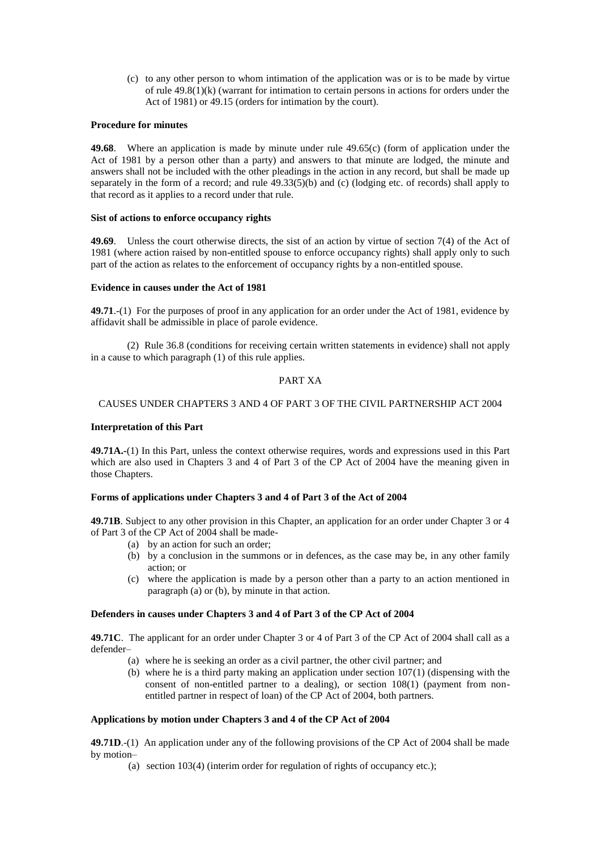(c) to any other person to whom intimation of the application was or is to be made by virtue of rule  $49.8(1)(k)$  (warrant for intimation to certain persons in actions for orders under the Act of 1981) or 49.15 (orders for intimation by the court).

## **Procedure for minutes**

**49.68**. Where an application is made by minute under rule 49.65(c) (form of application under the Act of 1981 by a person other than a party) and answers to that minute are lodged, the minute and answers shall not be included with the other pleadings in the action in any record, but shall be made up separately in the form of a record; and rule  $49.33(5)(b)$  and (c) (lodging etc. of records) shall apply to that record as it applies to a record under that rule.

## **Sist of actions to enforce occupancy rights**

**49.69.** Unless the court otherwise directs, the sist of an action by virtue of section 7(4) of the Act of 1981 (where action raised by non-entitled spouse to enforce occupancy rights) shall apply only to such part of the action as relates to the enforcement of occupancy rights by a non-entitled spouse.

## **Evidence in causes under the Act of 1981**

**49.71**.-(1) For the purposes of proof in any application for an order under the Act of 1981, evidence by affidavit shall be admissible in place of parole evidence.

(2) Rule 36.8 (conditions for receiving certain written statements in evidence) shall not apply in a cause to which paragraph (1) of this rule applies.

# PART XA

# CAUSES UNDER CHAPTERS 3 AND 4 OF PART 3 OF THE CIVIL PARTNERSHIP ACT 2004

#### **Interpretation of this Part**

**49.71A.-**(1) In this Part, unless the context otherwise requires, words and expressions used in this Part which are also used in Chapters 3 and 4 of Part 3 of the CP Act of 2004 have the meaning given in those Chapters.

### **Forms of applications under Chapters 3 and 4 of Part 3 of the Act of 2004**

**49.71B**. Subject to any other provision in this Chapter, an application for an order under Chapter 3 or 4 of Part 3 of the CP Act of 2004 shall be made-

- (a) by an action for such an order;
- (b) by a conclusion in the summons or in defences, as the case may be, in any other family action; or
- (c) where the application is made by a person other than a party to an action mentioned in paragraph (a) or (b), by minute in that action.

#### **Defenders in causes under Chapters 3 and 4 of Part 3 of the CP Act of 2004**

**49.71C**. The applicant for an order under Chapter 3 or 4 of Part 3 of the CP Act of 2004 shall call as a defender–

- (a) where he is seeking an order as a civil partner, the other civil partner; and
- (b) where he is a third party making an application under section  $107(1)$  (dispensing with the consent of non-entitled partner to a dealing), or section 108(1) (payment from nonentitled partner in respect of loan) of the CP Act of 2004, both partners.

#### **Applications by motion under Chapters 3 and 4 of the CP Act of 2004**

**49.71D**.-(1) An application under any of the following provisions of the CP Act of 2004 shall be made by motion–

(a) section 103(4) (interim order for regulation of rights of occupancy etc.);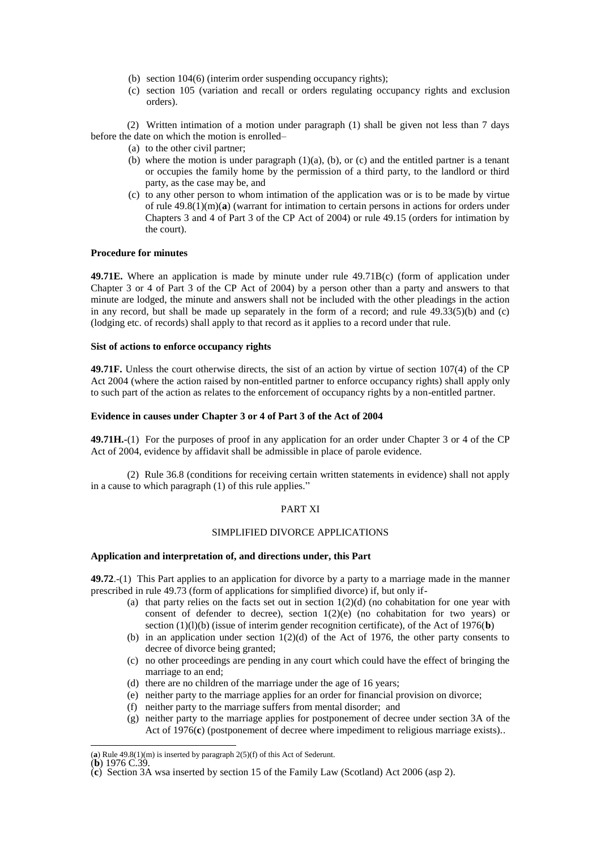- (b) section 104(6) (interim order suspending occupancy rights);
- (c) section 105 (variation and recall or orders regulating occupancy rights and exclusion orders).

(2) Written intimation of a motion under paragraph (1) shall be given not less than 7 days before the date on which the motion is enrolled–

- (a) to the other civil partner;
- (b) where the motion is under paragraph  $(1)(a)$ ,  $(b)$ , or  $(c)$  and the entitled partner is a tenant or occupies the family home by the permission of a third party, to the landlord or third party, as the case may be, and
- (c) to any other person to whom intimation of the application was or is to be made by virtue of rule 49.8(1)(m)(**a**) (warrant for intimation to certain persons in actions for orders under Chapters 3 and 4 of Part 3 of the CP Act of 2004) or rule 49.15 (orders for intimation by the court).

## **Procedure for minutes**

**49.71E.** Where an application is made by minute under rule 49.71B(c) (form of application under Chapter 3 or 4 of Part 3 of the CP Act of 2004) by a person other than a party and answers to that minute are lodged, the minute and answers shall not be included with the other pleadings in the action in any record, but shall be made up separately in the form of a record; and rule 49.33(5)(b) and (c) (lodging etc. of records) shall apply to that record as it applies to a record under that rule.

#### **Sist of actions to enforce occupancy rights**

**49.71F.** Unless the court otherwise directs, the sist of an action by virtue of section 107(4) of the CP Act 2004 (where the action raised by non-entitled partner to enforce occupancy rights) shall apply only to such part of the action as relates to the enforcement of occupancy rights by a non-entitled partner.

## **Evidence in causes under Chapter 3 or 4 of Part 3 of the Act of 2004**

**49.71H.-**(1) For the purposes of proof in any application for an order under Chapter 3 or 4 of the CP Act of 2004, evidence by affidavit shall be admissible in place of parole evidence.

(2) Rule 36.8 (conditions for receiving certain written statements in evidence) shall not apply in a cause to which paragraph (1) of this rule applies."

#### PART XI

#### SIMPLIFIED DIVORCE APPLICATIONS

#### **Application and interpretation of, and directions under, this Part**

**49.72**.-(1) This Part applies to an application for divorce by a party to a marriage made in the manner prescribed in rule 49.73 (form of applications for simplified divorce) if, but only if-

- (a) that party relies on the facts set out in section  $1(2)(d)$  (no cohabitation for one year with consent of defender to decree), section  $1(2)(e)$  (no cohabitation for two years) or section (1)(l)(b) (issue of interim gender recognition certificate), of the Act of 1976(**b**)
- (b) in an application under section  $1(2)(d)$  of the Act of 1976, the other party consents to decree of divorce being granted;
- (c) no other proceedings are pending in any court which could have the effect of bringing the marriage to an end;
- (d) there are no children of the marriage under the age of 16 years;
- (e) neither party to the marriage applies for an order for financial provision on divorce;
- (f) neither party to the marriage suffers from mental disorder; and
- (g) neither party to the marriage applies for postponement of decree under section 3A of the Act of 1976(**c**) (postponement of decree where impediment to religious marriage exists)..

<sup>(</sup>**a**) Rule 49.8(1)(m) is inserted by paragraph 2(5)(f) of this Act of Sederunt. (**b**) 1976 C.39.

<sup>(</sup>**c**) Section 3A wsa inserted by section 15 of the Family Law (Scotland) Act 2006 (asp 2).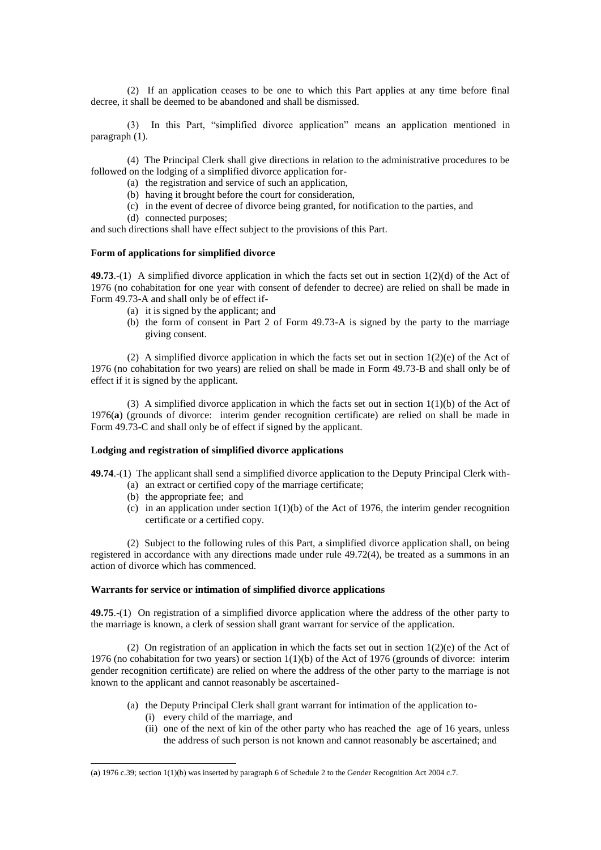(2) If an application ceases to be one to which this Part applies at any time before final decree, it shall be deemed to be abandoned and shall be dismissed.

(3) In this Part, "simplified divorce application" means an application mentioned in paragraph (1).

(4) The Principal Clerk shall give directions in relation to the administrative procedures to be followed on the lodging of a simplified divorce application for-

- (a) the registration and service of such an application,
- (b) having it brought before the court for consideration,
- (c) in the event of decree of divorce being granted, for notification to the parties, and
- (d) connected purposes;

and such directions shall have effect subject to the provisions of this Part.

## **Form of applications for simplified divorce**

**49.73**.-(1) A simplified divorce application in which the facts set out in section 1(2)(d) of the Act of 1976 (no cohabitation for one year with consent of defender to decree) are relied on shall be made in Form 49.73-A and shall only be of effect if-

- (a) it is signed by the applicant; and
- (b) the form of consent in Part 2 of Form 49.73-A is signed by the party to the marriage giving consent.

(2) A simplified divorce application in which the facts set out in section 1(2)(e) of the Act of 1976 (no cohabitation for two years) are relied on shall be made in Form 49.73-B and shall only be of effect if it is signed by the applicant.

(3) A simplified divorce application in which the facts set out in section 1(1)(b) of the Act of 1976(**a**) (grounds of divorce: interim gender recognition certificate) are relied on shall be made in Form 49.73-C and shall only be of effect if signed by the applicant.

## **Lodging and registration of simplified divorce applications**

**49.74**.-(1) The applicant shall send a simplified divorce application to the Deputy Principal Clerk with-

- (a) an extract or certified copy of the marriage certificate;
- (b) the appropriate fee; and

 $\overline{a}$ 

(c) in an application under section  $1(1)(b)$  of the Act of 1976, the interim gender recognition certificate or a certified copy.

(2) Subject to the following rules of this Part, a simplified divorce application shall, on being registered in accordance with any directions made under rule 49.72(4), be treated as a summons in an action of divorce which has commenced.

#### **Warrants for service or intimation of simplified divorce applications**

**49.75**.-(1) On registration of a simplified divorce application where the address of the other party to the marriage is known, a clerk of session shall grant warrant for service of the application.

(2) On registration of an application in which the facts set out in section  $1(2)(e)$  of the Act of 1976 (no cohabitation for two years) or section 1(1)(b) of the Act of 1976 (grounds of divorce: interim gender recognition certificate) are relied on where the address of the other party to the marriage is not known to the applicant and cannot reasonably be ascertained-

- (a) the Deputy Principal Clerk shall grant warrant for intimation of the application to- (i) every child of the marriage, and
	- (ii) one of the next of kin of the other party who has reached the age of 16 years, unless the address of such person is not known and cannot reasonably be ascertained; and

<sup>(</sup>**a**) 1976 c.39; section 1(1)(b) was inserted by paragraph 6 of Schedule 2 to the Gender Recognition Act 2004 c.7.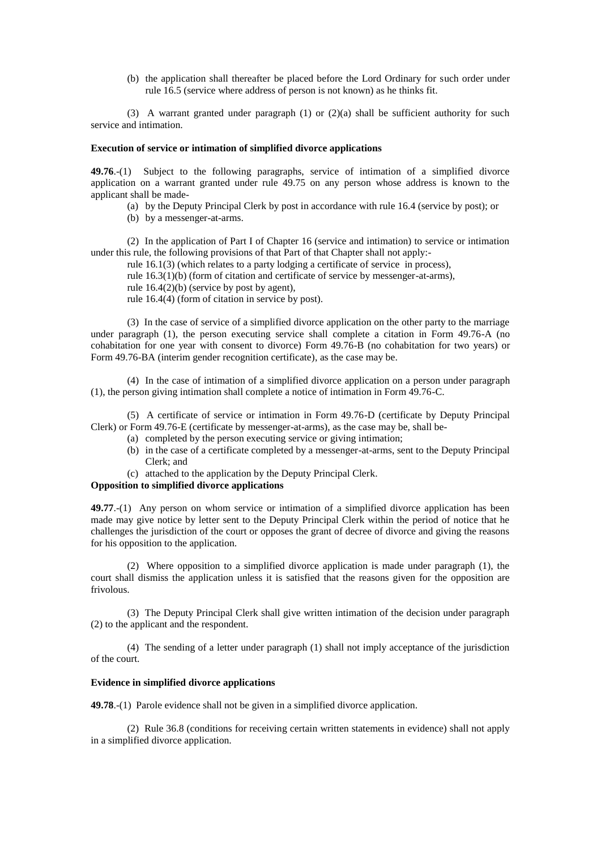(b) the application shall thereafter be placed before the Lord Ordinary for such order under rule 16.5 (service where address of person is not known) as he thinks fit.

(3) A warrant granted under paragraph (1) or (2)(a) shall be sufficient authority for such service and intimation.

## **Execution of service or intimation of simplified divorce applications**

**49.76**.-(1) Subject to the following paragraphs, service of intimation of a simplified divorce application on a warrant granted under rule 49.75 on any person whose address is known to the applicant shall be made-

- (a) by the Deputy Principal Clerk by post in accordance with rule 16.4 (service by post); or
- (b) by a messenger-at-arms.

(2) In the application of Part I of Chapter 16 (service and intimation) to service or intimation under this rule, the following provisions of that Part of that Chapter shall not apply:-

rule 16.1(3) (which relates to a party lodging a certificate of service in process),

rule 16.3(1)(b) (form of citation and certificate of service by messenger-at-arms),

rule 16.4(2)(b) (service by post by agent),

rule 16.4(4) (form of citation in service by post).

(3) In the case of service of a simplified divorce application on the other party to the marriage under paragraph (1), the person executing service shall complete a citation in Form 49.76-A (no cohabitation for one year with consent to divorce) Form 49.76-B (no cohabitation for two years) or Form 49.76-BA (interim gender recognition certificate), as the case may be.

(4) In the case of intimation of a simplified divorce application on a person under paragraph (1), the person giving intimation shall complete a notice of intimation in Form 49.76-C.

(5) A certificate of service or intimation in Form 49.76-D (certificate by Deputy Principal Clerk) or Form 49.76-E (certificate by messenger-at-arms), as the case may be, shall be-

- (a) completed by the person executing service or giving intimation;
- (b) in the case of a certificate completed by a messenger-at-arms, sent to the Deputy Principal Clerk; and
- (c) attached to the application by the Deputy Principal Clerk.

## **Opposition to simplified divorce applications**

**49.77**.-(1) Any person on whom service or intimation of a simplified divorce application has been made may give notice by letter sent to the Deputy Principal Clerk within the period of notice that he challenges the jurisdiction of the court or opposes the grant of decree of divorce and giving the reasons for his opposition to the application.

(2) Where opposition to a simplified divorce application is made under paragraph (1), the court shall dismiss the application unless it is satisfied that the reasons given for the opposition are frivolous.

(3) The Deputy Principal Clerk shall give written intimation of the decision under paragraph (2) to the applicant and the respondent.

(4) The sending of a letter under paragraph (1) shall not imply acceptance of the jurisdiction of the court.

## **Evidence in simplified divorce applications**

**49.78**.-(1) Parole evidence shall not be given in a simplified divorce application.

(2) Rule 36.8 (conditions for receiving certain written statements in evidence) shall not apply in a simplified divorce application.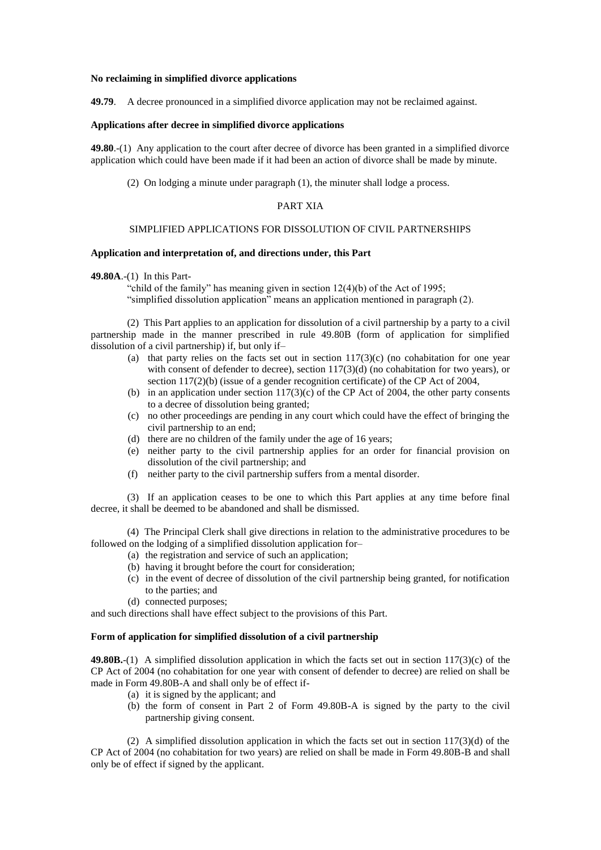#### **No reclaiming in simplified divorce applications**

**49.79**. A decree pronounced in a simplified divorce application may not be reclaimed against.

#### **Applications after decree in simplified divorce applications**

**49.80**.-(1) Any application to the court after decree of divorce has been granted in a simplified divorce application which could have been made if it had been an action of divorce shall be made by minute.

(2) On lodging a minute under paragraph (1), the minuter shall lodge a process.

## PART XIA

## SIMPLIFIED APPLICATIONS FOR DISSOLUTION OF CIVIL PARTNERSHIPS

## **Application and interpretation of, and directions under, this Part**

**49.80A**.-(1) In this Part-

"child of the family" has meaning given in section 12(4)(b) of the Act of 1995; "simplified dissolution application" means an application mentioned in paragraph (2).

(2) This Part applies to an application for dissolution of a civil partnership by a party to a civil partnership made in the manner prescribed in rule 49.80B (form of application for simplified dissolution of a civil partnership) if, but only if–

- (a) that party relies on the facts set out in section  $117(3)(c)$  (no cohabitation for one year with consent of defender to decree), section 117(3)(d) (no cohabitation for two years), or section 117(2)(b) (issue of a gender recognition certificate) of the CP Act of 2004,
- (b) in an application under section  $117(3)(c)$  of the CP Act of 2004, the other party consents to a decree of dissolution being granted;
- (c) no other proceedings are pending in any court which could have the effect of bringing the civil partnership to an end;
- (d) there are no children of the family under the age of 16 years;
- (e) neither party to the civil partnership applies for an order for financial provision on dissolution of the civil partnership; and
- (f) neither party to the civil partnership suffers from a mental disorder.

(3) If an application ceases to be one to which this Part applies at any time before final decree, it shall be deemed to be abandoned and shall be dismissed.

(4) The Principal Clerk shall give directions in relation to the administrative procedures to be followed on the lodging of a simplified dissolution application for–

- (a) the registration and service of such an application;
- (b) having it brought before the court for consideration;
- (c) in the event of decree of dissolution of the civil partnership being granted, for notification to the parties; and
- (d) connected purposes;

and such directions shall have effect subject to the provisions of this Part.

## **Form of application for simplified dissolution of a civil partnership**

**49.80B.**-(1) A simplified dissolution application in which the facts set out in section 117(3)(c) of the CP Act of 2004 (no cohabitation for one year with consent of defender to decree) are relied on shall be made in Form 49.80B-A and shall only be of effect if-

- (a) it is signed by the applicant; and
- (b) the form of consent in Part 2 of Form 49.80B-A is signed by the party to the civil partnership giving consent.

(2) A simplified dissolution application in which the facts set out in section  $117(3)(d)$  of the CP Act of 2004 (no cohabitation for two years) are relied on shall be made in Form 49.80B-B and shall only be of effect if signed by the applicant.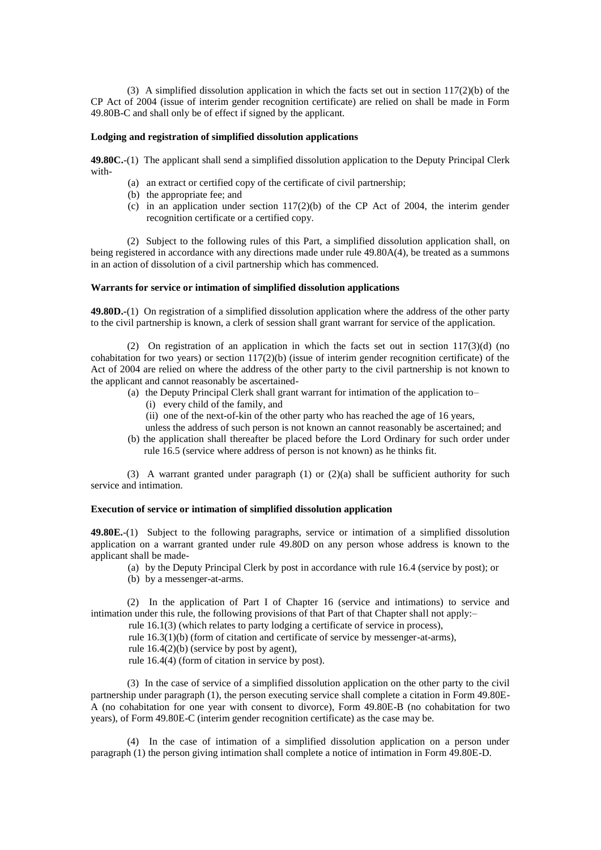(3) A simplified dissolution application in which the facts set out in section  $117(2)(b)$  of the CP Act of 2004 (issue of interim gender recognition certificate) are relied on shall be made in Form 49.80B-C and shall only be of effect if signed by the applicant.

## **Lodging and registration of simplified dissolution applications**

**49.80C.**-(1) The applicant shall send a simplified dissolution application to the Deputy Principal Clerk with-

- (a) an extract or certified copy of the certificate of civil partnership;
- (b) the appropriate fee; and
- (c) in an application under section  $117(2)(b)$  of the CP Act of 2004, the interim gender recognition certificate or a certified copy.

(2) Subject to the following rules of this Part, a simplified dissolution application shall, on being registered in accordance with any directions made under rule 49.80A(4), be treated as a summons in an action of dissolution of a civil partnership which has commenced.

#### **Warrants for service or intimation of simplified dissolution applications**

**49.80D.-**(1) On registration of a simplified dissolution application where the address of the other party to the civil partnership is known, a clerk of session shall grant warrant for service of the application.

(2) On registration of an application in which the facts set out in section  $117(3)(d)$  (no cohabitation for two years) or section  $117(2)(b)$  (issue of interim gender recognition certificate) of the Act of 2004 are relied on where the address of the other party to the civil partnership is not known to the applicant and cannot reasonably be ascertained-

- (a) the Deputy Principal Clerk shall grant warrant for intimation of the application to–
	- (i) every child of the family, and
	- (ii) one of the next-of-kin of the other party who has reached the age of 16 years,
	- unless the address of such person is not known an cannot reasonably be ascertained; and
- (b) the application shall thereafter be placed before the Lord Ordinary for such order under rule 16.5 (service where address of person is not known) as he thinks fit.

(3) A warrant granted under paragraph (1) or (2)(a) shall be sufficient authority for such service and intimation.

### **Execution of service or intimation of simplified dissolution application**

**49.80E.**-(1) Subject to the following paragraphs, service or intimation of a simplified dissolution application on a warrant granted under rule 49.80D on any person whose address is known to the applicant shall be made-

- (a) by the Deputy Principal Clerk by post in accordance with rule 16.4 (service by post); or
- (b) by a messenger-at-arms.

(2) In the application of Part I of Chapter 16 (service and intimations) to service and intimation under this rule, the following provisions of that Part of that Chapter shall not apply:–

rule 16.1(3) (which relates to party lodging a certificate of service in process),

- rule 16.3(1)(b) (form of citation and certificate of service by messenger-at-arms),
- rule 16.4(2)(b) (service by post by agent),

rule 16.4(4) (form of citation in service by post).

(3) In the case of service of a simplified dissolution application on the other party to the civil partnership under paragraph (1), the person executing service shall complete a citation in Form 49.80E-A (no cohabitation for one year with consent to divorce), Form 49.80E-B (no cohabitation for two years), of Form 49.80E-C (interim gender recognition certificate) as the case may be.

(4) In the case of intimation of a simplified dissolution application on a person under paragraph (1) the person giving intimation shall complete a notice of intimation in Form 49.80E-D.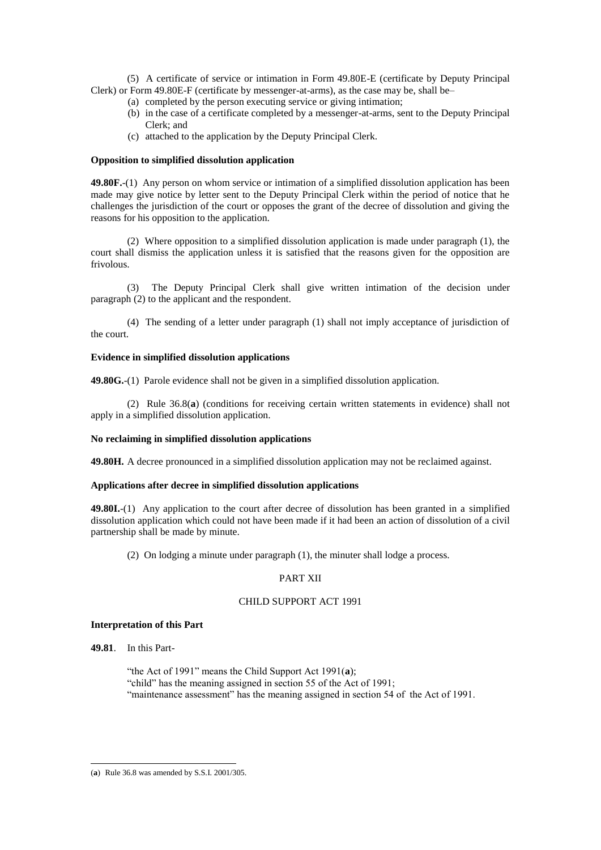(5) A certificate of service or intimation in Form 49.80E-E (certificate by Deputy Principal Clerk) or Form 49.80E-F (certificate by messenger-at-arms), as the case may be, shall be–

- (a) completed by the person executing service or giving intimation;
- (b) in the case of a certificate completed by a messenger-at-arms, sent to the Deputy Principal Clerk; and
- (c) attached to the application by the Deputy Principal Clerk.

## **Opposition to simplified dissolution application**

**49.80F.**-(1) Any person on whom service or intimation of a simplified dissolution application has been made may give notice by letter sent to the Deputy Principal Clerk within the period of notice that he challenges the jurisdiction of the court or opposes the grant of the decree of dissolution and giving the reasons for his opposition to the application.

(2) Where opposition to a simplified dissolution application is made under paragraph (1), the court shall dismiss the application unless it is satisfied that the reasons given for the opposition are frivolous.

(3) The Deputy Principal Clerk shall give written intimation of the decision under paragraph (2) to the applicant and the respondent.

(4) The sending of a letter under paragraph (1) shall not imply acceptance of jurisdiction of the court.

## **Evidence in simplified dissolution applications**

**49.80G.**-(1) Parole evidence shall not be given in a simplified dissolution application.

(2) Rule 36.8(**a**) (conditions for receiving certain written statements in evidence) shall not apply in a simplified dissolution application.

#### **No reclaiming in simplified dissolution applications**

**49.80H.** A decree pronounced in a simplified dissolution application may not be reclaimed against.

## **Applications after decree in simplified dissolution applications**

**49.80I.**-(1) Any application to the court after decree of dissolution has been granted in a simplified dissolution application which could not have been made if it had been an action of dissolution of a civil partnership shall be made by minute.

(2) On lodging a minute under paragraph (1), the minuter shall lodge a process.

## PART XII

## CHILD SUPPORT ACT 1991

#### **Interpretation of this Part**

**49.81**. In this Part-

 $\overline{a}$ 

"the Act of 1991" means the Child Support Act 1991(**a**); "child" has the meaning assigned in section 55 of the Act of 1991; "maintenance assessment" has the meaning assigned in section 54 of the Act of 1991.

<sup>(</sup>**a**) Rule 36.8 was amended by S.S.I. 2001/305.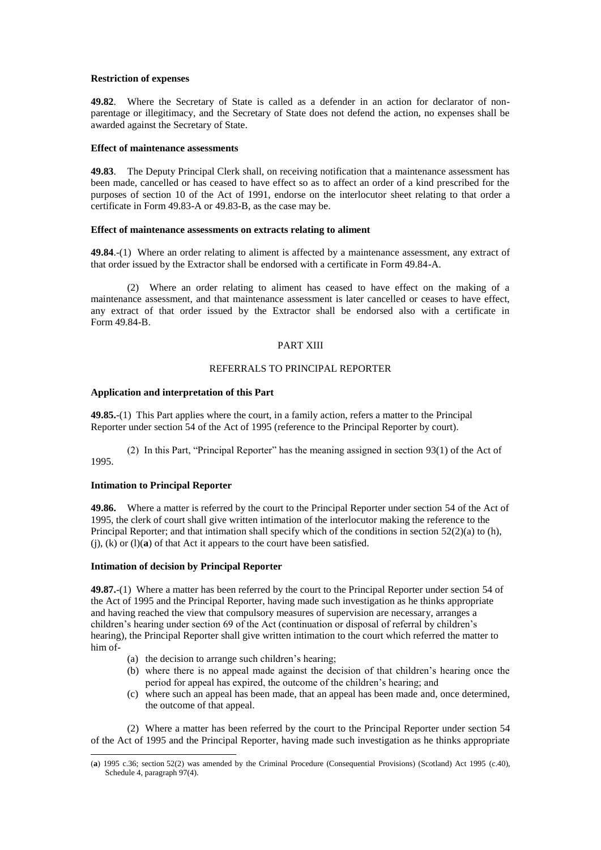#### **Restriction of expenses**

**49.82**. Where the Secretary of State is called as a defender in an action for declarator of nonparentage or illegitimacy, and the Secretary of State does not defend the action, no expenses shall be awarded against the Secretary of State.

## **Effect of maintenance assessments**

**49.83**. The Deputy Principal Clerk shall, on receiving notification that a maintenance assessment has been made, cancelled or has ceased to have effect so as to affect an order of a kind prescribed for the purposes of section 10 of the Act of 1991, endorse on the interlocutor sheet relating to that order a certificate in Form 49.83-A or 49.83-B, as the case may be.

## **Effect of maintenance assessments on extracts relating to aliment**

**49.84**.-(1) Where an order relating to aliment is affected by a maintenance assessment, any extract of that order issued by the Extractor shall be endorsed with a certificate in Form 49.84-A.

(2) Where an order relating to aliment has ceased to have effect on the making of a maintenance assessment, and that maintenance assessment is later cancelled or ceases to have effect, any extract of that order issued by the Extractor shall be endorsed also with a certificate in Form 49.84-B.

## PART XIII

## REFERRALS TO PRINCIPAL REPORTER

## **Application and interpretation of this Part**

**49.85.**-(1) This Part applies where the court, in a family action, refers a matter to the Principal Reporter under section 54 of the Act of 1995 (reference to the Principal Reporter by court).

(2) In this Part, "Principal Reporter" has the meaning assigned in section 93(1) of the Act of 1995.

# **Intimation to Principal Reporter**

**49.86.** Where a matter is referred by the court to the Principal Reporter under section 54 of the Act of 1995, the clerk of court shall give written intimation of the interlocutor making the reference to the Principal Reporter; and that intimation shall specify which of the conditions in section  $52(2)(a)$  to (h), (j), (k) or (l)(**a**) of that Act it appears to the court have been satisfied.

#### **Intimation of decision by Principal Reporter**

**49.87.**-(1) Where a matter has been referred by the court to the Principal Reporter under section 54 of the Act of 1995 and the Principal Reporter, having made such investigation as he thinks appropriate and having reached the view that compulsory measures of supervision are necessary, arranges a children's hearing under section 69 of the Act (continuation or disposal of referral by children's hearing), the Principal Reporter shall give written intimation to the court which referred the matter to him of-

- (a) the decision to arrange such children's hearing;
- (b) where there is no appeal made against the decision of that children's hearing once the period for appeal has expired, the outcome of the children's hearing; and
- (c) where such an appeal has been made, that an appeal has been made and, once determined, the outcome of that appeal.

(2) Where a matter has been referred by the court to the Principal Reporter under section 54 of the Act of 1995 and the Principal Reporter, having made such investigation as he thinks appropriate

 $\overline{a}$ (**a**) 1995 c.36; section 52(2) was amended by the Criminal Procedure (Consequential Provisions) (Scotland) Act 1995 (c.40), Schedule 4, paragraph 97(4).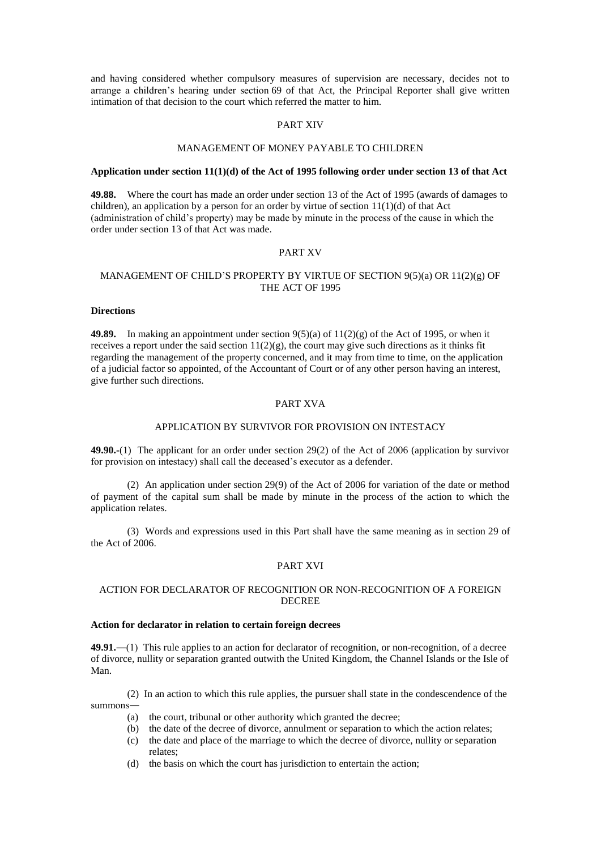and having considered whether compulsory measures of supervision are necessary, decides not to arrange a children's hearing under section 69 of that Act, the Principal Reporter shall give written intimation of that decision to the court which referred the matter to him.

#### PART XIV

## MANAGEMENT OF MONEY PAYABLE TO CHILDREN

## **Application under section 11(1)(d) of the Act of 1995 following order under section 13 of that Act**

**49.88.** Where the court has made an order under section 13 of the Act of 1995 (awards of damages to children), an application by a person for an order by virtue of section  $11(1)(d)$  of that Act (administration of child's property) may be made by minute in the process of the cause in which the order under section 13 of that Act was made.

## PART XV

## MANAGEMENT OF CHILD'S PROPERTY BY VIRTUE OF SECTION 9(5)(a) OR 11(2)(g) OF THE ACT OF 1995

## **Directions**

**49.89.** In making an appointment under section  $9(5)(a)$  of  $11(2)(g)$  of the Act of 1995, or when it receives a report under the said section  $11(2)(g)$ , the court may give such directions as it thinks fit regarding the management of the property concerned, and it may from time to time, on the application of a judicial factor so appointed, of the Accountant of Court or of any other person having an interest, give further such directions.

## PART XVA

# APPLICATION BY SURVIVOR FOR PROVISION ON INTESTACY

**49.90.-**(1) The applicant for an order under section 29(2) of the Act of 2006 (application by survivor for provision on intestacy) shall call the deceased's executor as a defender.

(2) An application under section 29(9) of the Act of 2006 for variation of the date or method of payment of the capital sum shall be made by minute in the process of the action to which the application relates.

(3) Words and expressions used in this Part shall have the same meaning as in section 29 of the Act of 2006.

#### PART XVI

# ACTION FOR DECLARATOR OF RECOGNITION OR NON-RECOGNITION OF A FOREIGN DECREE

# **Action for declarator in relation to certain foreign decrees**

**49.91.**―(1) This rule applies to an action for declarator of recognition, or non-recognition, of a decree of divorce, nullity or separation granted outwith the United Kingdom, the Channel Islands or the Isle of Man.

(2) In an action to which this rule applies, the pursuer shall state in the condescendence of the summons―

- (a) the court, tribunal or other authority which granted the decree;
- (b) the date of the decree of divorce, annulment or separation to which the action relates;
- (c) the date and place of the marriage to which the decree of divorce, nullity or separation relates;
- (d) the basis on which the court has jurisdiction to entertain the action;